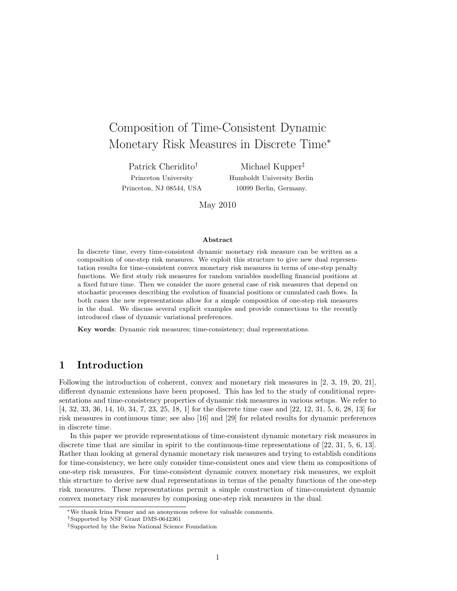# Composition of Time-Consistent Dynamic Monetary Risk Measures in Discrete Time*<sup>∗</sup>*

Patrick Cheridito*†* Princeton University Princeton, NJ 08544, USA

Michael Kupper*‡* Humboldt University Berlin 10099 Berlin, Germany.

May 2010

#### **Abstract**

In discrete time, every time-consistent dynamic monetary risk measure can be written as a composition of one-step risk measures. We exploit this structure to give new dual representation results for time-consistent convex monetary risk measures in terms of one-step penalty functions. We first study risk measures for random variables modelling financial positions at a fixed future time. Then we consider the more general case of risk measures that depend on stochastic processes describing the evolution of financial positions or cumulated cash flows. In both cases the new representations allow for a simple composition of one-step risk measures in the dual. We discuss several explicit examples and provide connections to the recently introduced class of dynamic variational preferences.

**Key words**: Dynamic risk measures; time-consistency; dual representations.

# **1 Introduction**

Following the introduction of coherent, convex and monetary risk measures in [2, 3, 19, 20, 21], different dynamic extensions have been proposed. This has led to the study of conditional representations and time-consistency properties of dynamic risk measures in various setups. We refer to [4, 32, 33, 36, 14, 10, 34, 7, 23, 25, 18, 1] for the discrete time case and [22, 12, 31, 5, 6, 28, 13] for risk measures in continuous time; see also [16] and [29] for related results for dynamic preferences in discrete time.

In this paper we provide representations of time-consistent dynamic monetary risk measures in discrete time that are similar in spirit to the continuous-time representations of [22, 31, 5, 6, 13]. Rather than looking at general dynamic monetary risk measures and trying to establish conditions for time-consistency, we here only consider time-consistent ones and view them as compositions of one-step risk measures. For time-consistent dynamic convex monetary risk measures, we exploit this structure to derive new dual representations in terms of the penalty functions of the one-step risk measures. These representations permit a simple construction of time-consistent dynamic convex monetary risk measures by composing one-step risk measures in the dual.

*<sup>∗</sup>*We thank Irina Penner and an anonymous referee for valuable comments.

*<sup>†</sup>*Supported by NSF Grant DMS-0642361

*<sup>‡</sup>*Supported by the Swiss National Science Foundation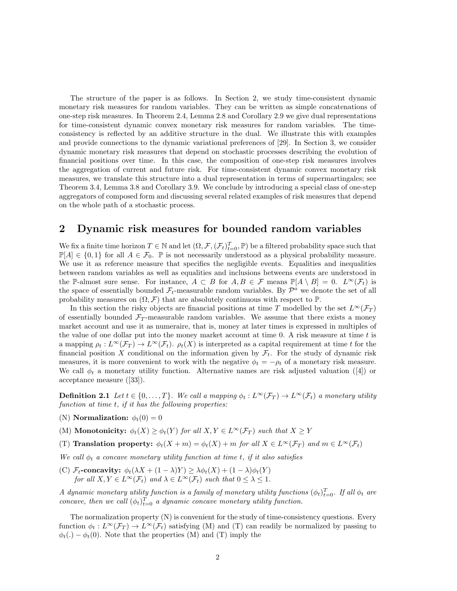The structure of the paper is as follows. In Section 2, we study time-consistent dynamic monetary risk measures for random variables. They can be written as simple concatenations of one-step risk measures. In Theorem 2.4, Lemma 2.8 and Corollary 2.9 we give dual representations for time-consistent dynamic convex monetary risk measures for random variables. The timeconsistency is reflected by an additive structure in the dual. We illustrate this with examples and provide connections to the dynamic variational preferences of [29]. In Section 3, we consider dynamic monetary risk measures that depend on stochastic processes describing the evolution of financial positions over time. In this case, the composition of one-step risk measures involves the aggregation of current and future risk. For time-consistent dynamic convex monetary risk measures, we translate this structure into a dual representation in terms of supermartingales; see Theorem 3.4, Lemma 3.8 and Corollary 3.9. We conclude by introducing a special class of one-step aggregators of composed form and discussing several related examples of risk measures that depend on the whole path of a stochastic process.

# **2 Dynamic risk measures for bounded random variables**

We fix a finite time horizon  $T \in \mathbb{N}$  and let  $(\Omega, \mathcal{F}, (\mathcal{F}_t)_{t=0}^T, \mathbb{P})$  be a filtered probability space such that  $\mathbb{P}[A] \in \{0,1\}$  for all  $A \in \mathcal{F}_0$ .  $\mathbb P$  is not necessarily understood as a physical probability measure. We use it as reference measure that specifies the negligible events. Equalities and inequalities between random variables as well as equalities and inclusions betweens events are understood in the P-almost sure sense. For instance,  $A \subset B$  for  $A, B \in \mathcal{F}$  means  $\mathbb{P}[A \setminus B] = 0$ .  $L^{\infty}(\mathcal{F}_t)$  is the space of essentially bounded  $\mathcal{F}_t$ -measurable random variables. By  $\mathcal{P}^a$  we denote the set of all probability measures on  $(\Omega, \mathcal{F})$  that are absolutely continuous with respect to  $\mathbb{P}$ .

In this section the risky objects are financial positions at time *T* modelled by the set  $L^{\infty}(\mathcal{F}_T)$ of essentially bounded  $\mathcal{F}_T$ -measurable random variables. We assume that there exists a money market account and use it as numeraire, that is, money at later times is expressed in multiples of the value of one dollar put into the money market account at time 0. A risk measure at time *t* is a mapping  $\rho_t: L^{\infty}(\mathcal{F}_T) \to L^{\infty}(\mathcal{F}_t)$ .  $\rho_t(X)$  is interpreted as a capital requirement at time *t* for the financial position X conditional on the information given by  $\mathcal{F}_t$ . For the study of dynamic risk measures, it is more convenient to work with the negative  $\phi_t = -\rho_t$  of a monetary risk measure. We call  $\phi_t$  a monetary utility function. Alternative names are risk adjusted valuation ([4]) or acceptance measure ([33]).

**Definition 2.1** Let  $t \in \{0, ..., T\}$ . We call a mapping  $\phi_t : L^{\infty}(\mathcal{F}_T) \to L^{\infty}(\mathcal{F}_t)$  a monetary utility *function at time t, if it has the following properties:*

(N) **Normalization:**  $\phi_t(0) = 0$ 

(M) **Monotonicity:**  $\phi_t(X) \geq \phi_t(Y)$  *for all*  $X, Y \in L^\infty(\mathcal{F}_T)$  *such that*  $X \geq Y$ 

(T) Translation property:  $\phi_t(X+m) = \phi_t(X) + m$  for all  $X \in L^{\infty}(\mathcal{F}_T)$  and  $m \in L^{\infty}(\mathcal{F}_t)$ 

*We call ϕ<sup>t</sup> a concave monetary utility function at time t, if it also satisfies*

 $(C)$  *F*<sub>t</sub>**-concavity:**  $\phi_t(\lambda X + (1 - \lambda)Y) \geq \lambda \phi_t(X) + (1 - \lambda)\phi_t(Y)$ *for all*  $X, Y \in L^{\infty}(\mathcal{F}_t)$  *and*  $\lambda \in L^{\infty}(\mathcal{F}_t)$  *such that*  $0 \leq \lambda \leq 1$ *.* 

*A* dynamic monetary utility function is a family of monetary utility functions  $(\phi_t)_{t=0}^T$ . If all  $\phi_t$  are *concave, then we call*  $(\phi_t)_{t=0}^T$  *a dynamic concave monetary utility function.* 

The normalization property (N) is convenient for the study of time-consistency questions. Every function  $\phi_t : L^\infty(\mathcal{F}_T) \to L^\infty(\mathcal{F}_t)$  satisfying (M) and (T) can readily be normalized by passing to  $\phi_t(.) - \phi_t(0)$ . Note that the properties (M) and (T) imply the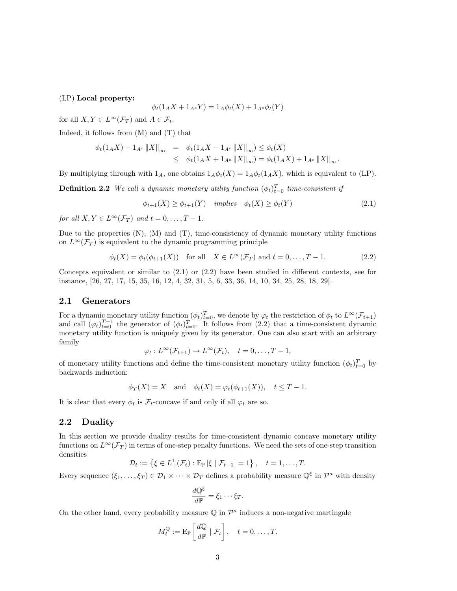## (LP) **Local property:**

$$
\phi_t(1_A X + 1_{A^c} Y) = 1_A \phi_t(X) + 1_{A^c} \phi_t(Y)
$$

for all  $X, Y \in L^{\infty}(\mathcal{F}_T)$  and  $A \in \mathcal{F}_t$ .

Indeed, it follows from  $(M)$  and  $(T)$  that

$$
\begin{array}{rcl}\n\phi_t(1_A X) - 1_{A^c} ||X||_{\infty} & = & \phi_t(1_A X - 1_{A^c} ||X||_{\infty}) \le \phi_t(X) \\
& \le \phi_t(1_A X + 1_{A^c} ||X||_{\infty}) = \phi_t(1_A X) + 1_{A^c} ||X||_{\infty}\,. \n\end{array}
$$

By multiplying through with  $1_A$ , one obtains  $1_A\phi_t(X) = 1_A\phi_t(1_AX)$ , which is equivalent to (LP).

**Definition 2.2** *We call a dynamic monetary utility function*  $(\phi_t)_{t=0}^T$  *time-consistent if* 

$$
\phi_{t+1}(X) \ge \phi_{t+1}(Y) \quad implies \quad \phi_t(X) \ge \phi_t(Y) \tag{2.1}
$$

*for all*  $X, Y \in L^{\infty}(\mathcal{F}_T)$  *and*  $t = 0, \ldots, T - 1$ .

Due to the properties  $(N)$ ,  $(M)$  and  $(T)$ , time-consistency of dynamic monetary utility functions on  $L^{\infty}(\mathcal{F}_T)$  is equivalent to the dynamic programming principle

$$
\phi_t(X) = \phi_t(\phi_{t+1}(X)) \quad \text{for all} \quad X \in L^\infty(\mathcal{F}_T) \text{ and } t = 0, \dots, T - 1. \tag{2.2}
$$

Concepts equivalent or similar to (2.1) or (2.2) have been studied in different contexts, see for instance, [26, 27, 17, 15, 35, 16, 12, 4, 32, 31, 5, 6, 33, 36, 14, 10, 34, 25, 28, 18, 29].

### **2.1 Generators**

For a dynamic monetary utility function  $(\phi_t)_{t=0}^T$ , we denote by  $\varphi_t$  the restriction of  $\phi_t$  to  $L^\infty(\mathcal{F}_{t+1})$ and call  $(\varphi_t)_{t=0}^{T-1}$  the generator of  $(\phi_t)_{t=0}^T$ . It follows from (2.2) that a time-consistent dynamic monetary utility function is uniquely given by its generator. One can also start with an arbitrary family

$$
\varphi_t: L^{\infty}(\mathcal{F}_{t+1}) \to L^{\infty}(\mathcal{F}_t), \quad t = 0, \ldots, T-1,
$$

of monetary utility functions and define the time-consistent monetary utility function  $(\phi_t)_{t=0}^T$  by backwards induction:

$$
\phi_T(X) = X
$$
 and  $\phi_t(X) = \varphi_t(\phi_{t+1}(X)), \quad t \leq T - 1.$ 

It is clear that every  $\phi_t$  is  $\mathcal{F}_t$ -concave if and only if all  $\varphi_t$  are so.

# **2.2 Duality**

In this section we provide duality results for time-consistent dynamic concave monetary utility functions on  $L^\infty(\mathcal{F}_T)$  in terms of one-step penalty functions. We need the sets of one-step transition densities

$$
\mathcal{D}_t := \left\{ \xi \in L^1_+(\mathcal{F}_t) : \mathrm{E}_{\mathbb{P}} \left[ \xi \mid \mathcal{F}_{t-1} \right] = 1 \right\}, \quad t = 1, \ldots, T.
$$

Every sequence  $(\xi_1, \ldots, \xi_T) \in \mathcal{D}_1 \times \cdots \times \mathcal{D}_T$  defines a probability measure  $\mathbb{Q}^{\xi}$  in  $\mathcal{P}^a$  with density

$$
\frac{d\mathbb{Q}^{\xi}}{d\mathbb{P}} = \xi_1 \cdots \xi_T.
$$

On the other hand, every probability measure  $\mathbb Q$  in  $\mathcal P^a$  induces a non-negative martingale

$$
M_t^{\mathbb{Q}} := \mathrm{E}_{\mathbb{P}}\left[\frac{d\mathbb{Q}}{d\mathbb{P}} \mid \mathcal{F}_t\right], \quad t = 0, \ldots, T.
$$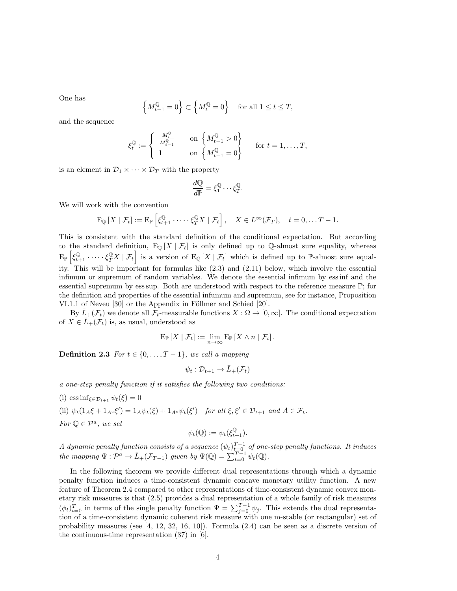One has

$$
\left\{ M_{t-1}^{\mathbb{Q}}=0\right\} \subset \left\{ M_{t}^{\mathbb{Q}}=0\right\} \quad \text{for all } 1\leq t\leq T,
$$

and the sequence

$$
\xi_t^{\mathbb{Q}} := \begin{cases} \frac{M_t^{\mathbb{Q}}}{M_{t-1}^{\mathbb{Q}}} & \text{on } \left\{ M_{t-1}^{\mathbb{Q}} > 0 \right\} \\ 1 & \text{on } \left\{ M_{t-1}^{\mathbb{Q}} = 0 \right\} \end{cases} \quad \text{for } t = 1, \dots, T,
$$

is an element in  $\mathcal{D}_1 \times \cdots \times \mathcal{D}_T$  with the property

$$
\frac{d\mathbb{Q}}{d\mathbb{P}} = \xi_1^{\mathbb{Q}} \cdots \xi_T^{\mathbb{Q}}.
$$

We will work with the convention

$$
\mathrm{E}_{\mathbb{Q}}\left[X \mid \mathcal{F}_t\right] := \mathrm{E}_{\mathbb{P}}\left[\xi_{t+1}^{\mathbb{Q}} \cdot \cdots \cdot \xi_T^{\mathbb{Q}} X \mid \mathcal{F}_t\right], \quad X \in L^{\infty}(\mathcal{F}_T), \quad t = 0, \ldots T - 1.
$$

This is consistent with the standard definition of the conditional expectation. But according to the standard definition,  $E_{\mathbb{Q}}[X | \mathcal{F}_t]$  is only defined up to Q-almost sure equality, whereas  $E_{\mathbb{P}}\left[\xi_{t+1}^{\mathbb{Q}}\cdot \cdots \xi_T^{\mathbb{Q}}X \mid \mathcal{F}_t\right]$  is a version of  $E_{\mathbb{Q}}\left[X \mid \mathcal{F}_t\right]$  which is defined up to P-almost sure equality. This will be important for formulas like (2.3) and (2.11) below, which involve the essential infimum or supremum of random variables. We denote the essential infimum by ess inf and the essential supremum by ess sup. Both are understood with respect to the reference measure P; for the definition and properties of the essential infumum and supremum, see for instance, Proposition VI.1.1 of Neveu [30] or the Appendix in Föllmer and Schied [20].

By  $L_{+}(\mathcal{F}_{t})$  we denote all  $\mathcal{F}_{t}$ -measurable functions  $X:\Omega \to [0,\infty]$ . The conditional expectation of  $X \in \overline{L}_+(\mathcal{F}_t)$  is, as usual, understood as

$$
\mathrm{E}_{\mathbb{P}}\left[X \mid \mathcal{F}_t\right] := \lim_{n \to \infty} \mathrm{E}_{\mathbb{P}}\left[X \wedge n \mid \mathcal{F}_t\right].
$$

**Definition 2.3** *For*  $t \in \{0, \ldots, T-1\}$ *, we call a mapping* 

$$
\psi_t: \mathcal{D}_{t+1} \to \bar{L}_+(\mathcal{F}_t)
$$

*a one-step penalty function if it satisfies the following two conditions:*

(i) ess inf $_{\xi \in \mathcal{D}_{t+1}} \psi_t(\xi) = 0$ (ii)  $\psi_t(1_A\xi + 1_{A^c}\xi') = 1_A\psi_t(\xi) + 1_{A^c}\psi_t(\xi')$  for all  $\xi, \xi' \in \mathcal{D}_{t+1}$  and  $A \in \mathcal{F}_t$ .  $For \mathbb{Q} \in \mathcal{P}^a$ , we set  $\psi_t(\mathbb{Q}) := \psi_t(\xi_{t+1}^{\mathbb{Q}})$ .

*A* dynamic penalty function consists of a sequence  $(\psi_t)_{t=0}^{T-1}$  of one-step penalty functions. It induces *the mapping*  $\Psi : \mathcal{P}^a \to \bar{L}_+(\mathcal{F}_{T-1})$  *given by*  $\Psi(\mathbb{Q}) = \sum_{t=0}^{T-1} \psi_t(\mathbb{Q})$ .

In the following theorem we provide different dual representations through which a dynamic penalty function induces a time-consistent dynamic concave monetary utility function. A new feature of Theorem 2.4 compared to other representations of time-consistent dynamic convex monetary risk measures is that (2.5) provides a dual representation of a whole family of risk measures  $(\phi_t)_{t=0}^T$  in terms of the single penalty function  $\Psi = \sum_{j=0}^{T-1} \psi_j$ . This extends the dual representation of a time-consistent dynamic coherent risk measure with one m-stable (or rectangular) set of probability measures (see [4, 12, 32, 16, 10]). Formula (2.4) can be seen as a discrete version of the continuous-time representation (37) in [6].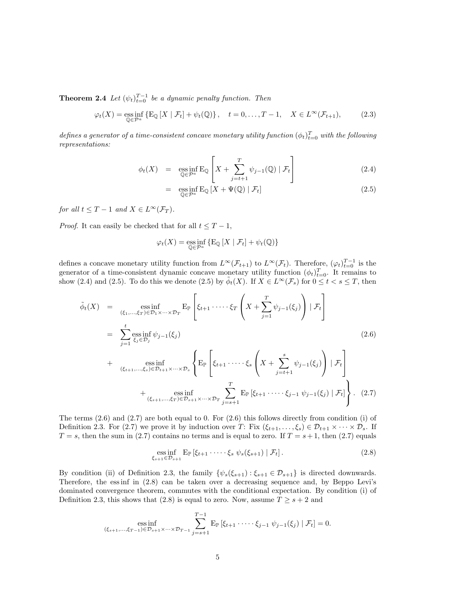**Theorem 2.4** *Let*  $(\psi_t)_{t=0}^{T-1}$  *be a dynamic penalty function. Then* 

$$
\varphi_t(X) = \operatorname*{ess\,inf}_{\mathbb{Q}\in\mathcal{P}^a} \left\{ \operatorname{E}_{\mathbb{Q}}\left[X \mid \mathcal{F}_t\right] + \psi_t(\mathbb{Q}) \right\}, \quad t = 0, \dots, T-1, \quad X \in L^{\infty}(\mathcal{F}_{t+1}), \tag{2.3}
$$

*defines a generator of a time-consistent concave monetary utility function*  $(\phi_t)_{t=0}^T$  with the following *representations:*

$$
\phi_t(X) = \operatorname*{ess\,inf}_{\mathbb{Q}\in\mathcal{P}^a} E_{\mathbb{Q}} \left[ X + \sum_{j=t+1}^T \psi_{j-1}(\mathbb{Q}) \mid \mathcal{F}_t \right] \tag{2.4}
$$

$$
= \operatorname*{ess\,inf}_{\mathbb{Q}\in\mathcal{P}^a} E_{\mathbb{Q}}\left[X + \Psi(\mathbb{Q}) \mid \mathcal{F}_t\right] \tag{2.5}
$$

*for all*  $t \leq T - 1$  *and*  $X \in L^{\infty}(\mathcal{F}_T)$ *.* 

*Proof.* It can easily be checked that for all  $t \leq T - 1$ ,

$$
\varphi_t(X) = \operatorname*{ess\,inf}_{\mathbb{Q} \in \mathcal{P}^a} \{ \operatorname{E}_{\mathbb{Q}} \left[ X \mid \mathcal{F}_t \right] + \psi_t(\mathbb{Q}) \}
$$

defines a concave monetary utility function from  $L^{\infty}(\mathcal{F}_{t+1})$  to  $L^{\infty}(\mathcal{F}_{t})$ . Therefore,  $(\varphi_{t})_{t=0}^{T-1}$  is the generator of a time-consistent dynamic concave monetary utility function  $(\phi_t)_{t=0}^T$ . It remains to show (2.4) and (2.5). To do this we denote (2.5) by  $\tilde{\phi}_t(X)$ . If  $X \in L^\infty(\mathcal{F}_s)$  for  $0 \le t < s \le T$ , then

$$
\tilde{\phi}_t(X) = \underset{(\xi_1, \ldots, \xi_T) \in \mathcal{D}_1 \times \cdots \times \mathcal{D}_T}{\text{ess inf}} \mathbb{E}_{\mathbb{P}} \left[ \xi_{t+1} \cdot \cdots \cdot \xi_T \left( X + \sum_{j=1}^T \psi_{j-1}(\xi_j) \right) \mid \mathcal{F}_t \right]
$$
\n
$$
= \sum_{j=1}^t \underset{\xi_j \in \mathcal{D}_j}{\text{ess inf}} \psi_{j-1}(\xi_j)
$$
\n
$$
+ \underset{(\xi_{t+1}, \ldots, \xi_s) \in \mathcal{D}_{t+1} \times \cdots \times \mathcal{D}_s}{\text{ess inf}} \left\{ \mathbb{E}_{\mathbb{P}} \left[ \xi_{t+1} \cdot \cdots \cdot \xi_s \left( X + \sum_{j=t+1}^s \psi_{j-1}(\xi_j) \right) \mid \mathcal{F}_t \right] + \underset{(\xi_{s+1}, \ldots, \xi_T) \in \mathcal{D}_{s+1} \times \cdots \times \mathcal{D}_T}{\text{ess inf}} \sum_{j=s+1}^T \mathbb{E}_{\mathbb{P}} \left[ \xi_{t+1} \cdot \cdots \cdot \xi_{j-1} \psi_{j-1}(\xi_j) \mid \mathcal{F}_t \right].
$$
\n(2.7)

The terms (2.6) and (2.7) are both equal to 0. For (2.6) this follows directly from condition (i) of Definition 2.3. For (2.7) we prove it by induction over *T*: Fix  $(\xi_{t+1}, \ldots, \xi_s) \in \mathcal{D}_{t+1} \times \cdots \times \mathcal{D}_s$ . If  $T = s$ , then the sum in (2.7) contains no terms and is equal to zero. If  $T = s + 1$ , then (2.7) equals

$$
\underset{\xi_{s+1}\in\mathcal{D}_{s+1}}{\text{ess inf }} \mathbb{E}_{\mathbb{P}}\left[\xi_{t+1}\cdot\cdots\cdot\xi_s\,\psi_s(\xi_{s+1})\mid\mathcal{F}_t\right].\tag{2.8}
$$

By condition (ii) of Definition 2.3, the family  $\{\psi_s(\xi_{s+1}) : \xi_{s+1} \in \mathcal{D}_{s+1}\}\$ is directed downwards. Therefore, the essinf in  $(2.8)$  can be taken over a decreasing sequence and, by Beppo Levi's dominated convergence theorem, commutes with the conditional expectation. By condition (i) of Definition 2.3, this shows that (2.8) is equal to zero. Now, assume  $T \geq s + 2$  and

ess inf  

$$
\underset{(\xi_{s+1},\ldots,\xi_{T-1})\in\mathcal{D}_{s+1}\times\cdots\times\mathcal{D}_{T-1}}{\text{ess inf}}\sum_{j=s+1}^{T-1}\text{E}_{\mathbb{P}}\left[\xi_{t+1}\cdot\cdots\cdot\xi_{j-1}\,\psi_{j-1}(\xi_j)\mid\mathcal{F}_t\right]=0.
$$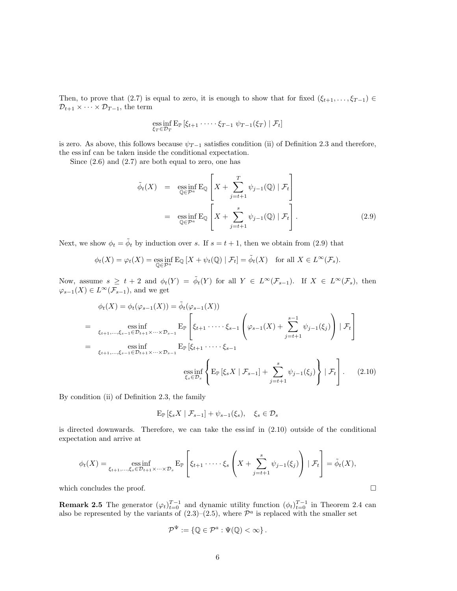Then, to prove that (2.7) is equal to zero, it is enough to show that for fixed  $(\xi_{t+1}, \ldots, \xi_{T-1}) \in$  $\mathcal{D}_{t+1} \times \cdots \times \mathcal{D}_{T-1}$ , the term

ess inf 
$$
E_{\mathbb{P}}[ \xi_{t+1} \cdots \xi_{T-1} \psi_{T-1}(\xi_T) | \mathcal{F}_t ]
$$

is zero. As above, this follows because  $\psi_{T-1}$  satisfies condition (ii) of Definition 2.3 and therefore, the ess inf can be taken inside the conditional expectation.

Since  $(2.6)$  and  $(2.7)$  are both equal to zero, one has

$$
\tilde{\phi}_t(X) = \operatorname*{ess\,inf}_{\mathbb{Q} \in \mathcal{P}^a} \mathcal{E}_{\mathbb{Q}} \left[ X + \sum_{j=t+1}^T \psi_{j-1}(\mathbb{Q}) \mid \mathcal{F}_t \right]
$$
\n
$$
= \operatorname*{ess\,inf}_{\mathbb{Q} \in \mathcal{P}^a} \mathcal{E}_{\mathbb{Q}} \left[ X + \sum_{j=t+1}^s \psi_{j-1}(\mathbb{Q}) \mid \mathcal{F}_t \right]. \tag{2.9}
$$

Next, we show  $\phi_t = \tilde{\phi}_t$  by induction over *s*. If  $s = t + 1$ , then we obtain from (2.9) that

$$
\phi_t(X) = \varphi_t(X) = \operatorname*{ess\,inf}_{\mathbb{Q} \in \mathcal{P}^a} E_{\mathbb{Q}}[X + \psi_t(\mathbb{Q}) \mid \mathcal{F}_t] = \tilde{\phi}_t(X) \quad \text{for all } X \in L^{\infty}(\mathcal{F}_s).
$$

Now, assume  $s \geq t+2$  and  $\phi_t(Y) = \tilde{\phi}_t(Y)$  for all  $Y \in L^{\infty}(\mathcal{F}_{s-1})$ . If  $X \in L^{\infty}(\mathcal{F}_s)$ , then  $\varphi_{s-1}(X) \in L^{\infty}(\mathcal{F}_{s-1}),$  and we get

$$
\phi_t(X) = \phi_t(\varphi_{s-1}(X)) = \tilde{\phi}_t(\varphi_{s-1}(X))
$$
\n
$$
= \underset{\xi_{t+1}, \dots, \xi_{s-1} \in \mathcal{D}_{t+1} \times \dots \times \mathcal{D}_{s-1}}{\text{ess inf}} \text{E}_{\mathbb{P}} \left[ \xi_{t+1} \cdot \dots \cdot \xi_{s-1} \left( \varphi_{s-1}(X) + \sum_{j=t+1}^{s-1} \psi_{j-1}(\xi_j) \right) | \mathcal{F}_t \right]
$$
\n
$$
= \underset{\xi_{s+1}, \dots, \xi_{s-1} \in \mathcal{D}_{t+1} \times \dots \times \mathcal{D}_{s-1}}{\text{ess inf}} \text{E}_{\mathbb{P}} \left[ \xi_{t+1} \cdot \dots \cdot \xi_{s-1} \right]
$$
\n
$$
\underset{\xi_s \in \mathcal{D}_s}{\text{ess inf}} \left\{ \text{E}_{\mathbb{P}} \left[ \xi_s X | \mathcal{F}_{s-1} \right] + \sum_{j=t+1}^{s} \psi_{j-1}(\xi_j) \right\} | \mathcal{F}_t \right]. \tag{2.10}
$$

By condition (ii) of Definition 2.3, the family

$$
\mathbf{E}_{\mathbb{P}}\left[\xi_s X \mid \mathcal{F}_{s-1}\right] + \psi_{s-1}(\xi_s), \quad \xi_s \in \mathcal{D}_s
$$

is directed downwards. Therefore, we can take the ess inf in (2.10) outside of the conditional expectation and arrive at

$$
\phi_t(X) = \underset{\xi_{t+1}, \dots, \xi_s \in \mathcal{D}_{t+1} \times \dots \times \mathcal{D}_s}{\text{ess inf}} \mathbb{E}_{\mathbb{P}} \left[ \xi_{t+1} \cdot \dots \cdot \xi_s \left( X + \sum_{j=t+1}^s \psi_{j-1}(\xi_j) \right) \mid \mathcal{F}_t \right] = \tilde{\phi}_t(X),
$$

which concludes the proof.  $\Box$ 

**Remark 2.5** The generator  $(\varphi_t)_{t=0}^{T-1}$  and dynamic utility function  $(\phi_t)_{t=0}^{T-1}$  in Theorem 2.4 can also be represented by the variants of  $(2.3)$ – $(2.5)$ , where  $\mathcal{P}^a$  is replaced with the smaller set

$$
\mathcal{P}^{\Psi} := \{ \mathbb{Q} \in \mathcal{P}^a : \Psi(\mathbb{Q}) < \infty \}.
$$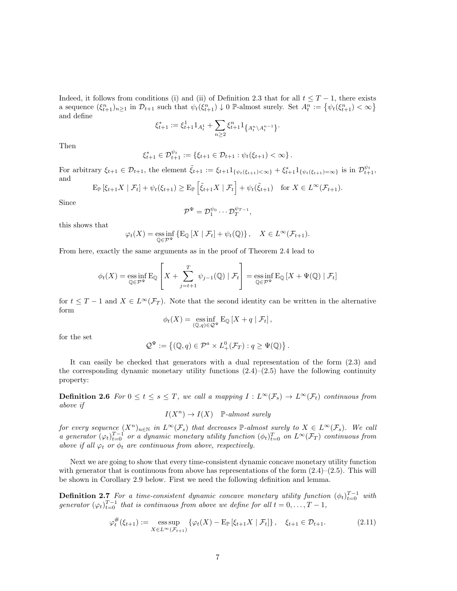Indeed, it follows from conditions (i) and (ii) of Definition 2.3 that for all  $t \leq T - 1$ , there exists a sequence  $(\xi_{t+1}^n)_{n\geq 1}$  in  $\mathcal{D}_{t+1}$  such that  $\psi_t(\xi_{t+1}^n) \downarrow 0$  P-almost surely. Set  $A_t^n := \{\psi_t(\xi_{t+1}^n) < \infty\}$ and define

$$
\xi_{t+1}^* := \xi_{t+1}^1 1_{A_t^1} + \sum_{n \ge 2} \xi_{t+1}^n 1_{\{A_t^n \setminus A_t^{n-1}\}}.
$$

Then

$$
\xi_{t+1}^* \in \mathcal{D}_{t+1}^{\psi_t} := \{ \xi_{t+1} \in \mathcal{D}_{t+1} : \psi_t(\xi_{t+1}) < \infty \}.
$$

For arbitrary  $\xi_{t+1} \in \mathcal{D}_{t+1}$ , the element  $\tilde{\xi}_{t+1} := \xi_{t+1} 1_{\{\psi_t(\xi_{t+1}) < \infty\}} + \xi_{t+1}^* 1_{\{\psi_t(\xi_{t+1}) = \infty\}}$  is in  $\mathcal{D}_{t+1}^{\psi_t}$ , and

$$
\mathbb{E}_{\mathbb{P}}\left[\xi_{t+1}X \mid \mathcal{F}_t\right] + \psi_t(\xi_{t+1}) \ge \mathbb{E}_{\mathbb{P}}\left[\tilde{\xi}_{t+1}X \mid \mathcal{F}_t\right] + \psi_t(\tilde{\xi}_{t+1}) \quad \text{for } X \in L^{\infty}(\mathcal{F}_{t+1}).
$$

Since

$$
\mathcal{P}^{\Psi} = \mathcal{D}_1^{\psi_0} \cdots \mathcal{D}_T^{\psi_{T-1}},
$$

this shows that

$$
\varphi_t(X) = \operatorname*{ess\,inf}_{\mathbb{Q}\in\mathcal{P}^{\Psi}} \{ \mathbb{E}_{\mathbb{Q}}\left[X \mid \mathcal{F}_t\right] + \psi_t(\mathbb{Q}) \}, \quad X \in L^{\infty}(\mathcal{F}_{t+1}).
$$

From here, exactly the same arguments as in the proof of Theorem 2.4 lead to

$$
\phi_t(X) = \operatorname*{ess\,inf}_{\mathbb{Q}\in\mathcal{P}^{\Psi}} \mathbb{E}_{\mathbb{Q}}\left[X + \sum_{j=t+1}^T \psi_{j-1}(\mathbb{Q}) \mid \mathcal{F}_t\right] = \operatorname*{ess\,inf}_{\mathbb{Q}\in\mathcal{P}^{\Psi}} \mathbb{E}_{\mathbb{Q}}\left[X + \Psi(\mathbb{Q}) \mid \mathcal{F}_t\right]
$$

for  $t \leq T-1$  and  $X \in L^{\infty}(\mathcal{F}_T)$ . Note that the second identity can be written in the alternative form

$$
\phi_t(X) = \operatorname*{ess\,inf}_{(\mathbb{Q},q)\in\mathcal{Q}^{\Psi}} \mathcal{E}_{\mathbb{Q}}\left[X+q \mid \mathcal{F}_t\right],
$$

for the set

$$
\mathcal{Q}^{\Psi} := \left\{ (\mathbb{Q}, q) \in \mathcal{P}^a \times L^0_+(\mathcal{F}_T) : q \geq \Psi(\mathbb{Q}) \right\}.
$$

It can easily be checked that generators with a dual representation of the form (2.3) and the corresponding dynamic monetary utility functions  $(2.4)$ – $(2.5)$  have the following continuity property:

**Definition 2.6** For  $0 \le t \le s \le T$ , we call a mapping  $I: L^{\infty}(\mathcal{F}_s) \to L^{\infty}(\mathcal{F}_t)$  continuous from *above if*

$$
I(X^n) \to I(X) \quad \mathbb{P}\text{-almost surely}
$$

*for every sequence*  $(X^n)_{n \in \mathbb{N}}$  *in*  $L^\infty(\mathcal{F}_s)$  *that decreases*  $\mathbb{P}\text{-almost surely to } X \in L^\infty(\mathcal{F}_s)$ *. We call a* generator  $(\varphi_t)_{t=0}^{T-1}$  or a dynamic monetary utility function  $(\phi_t)_{t=0}^T$  on  $L^\infty(\mathcal{F}_T)$  continuous from *above if all*  $\varphi_t$  *or*  $\phi_t$  *are continuous from above, respectively.* 

Next we are going to show that every time-consistent dynamic concave monetary utility function with generator that is continuous from above has representations of the form  $(2.4)$ – $(2.5)$ . This will be shown in Corollary 2.9 below. First we need the following definition and lemma.

**Definition 2.7** *For a time-consistent dynamic concave monetary utility function*  $(\phi_t)_{t=0}^{T-1}$  with *generator*  $(\varphi_t)_{t=0}^{T-1}$  *that is continuous from above we define for all*  $t = 0, \ldots, T-1$ *,* 

$$
\varphi_t^{\#}(\xi_{t+1}) := \mathop{\rm ess\,sup}_{X \in L^{\infty}(\mathcal{F}_{t+1})} \{ \varphi_t(X) - \mathbb{E}_{\mathbb{P}} \left[ \xi_{t+1} X \mid \mathcal{F}_t \right] \}, \quad \xi_{t+1} \in \mathcal{D}_{t+1}.
$$
 (2.11)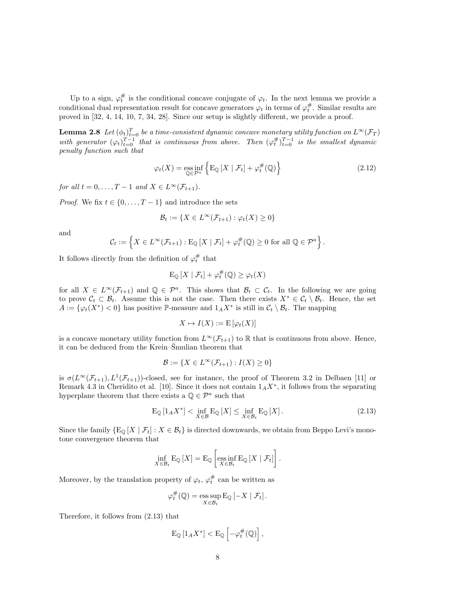Up to a sign,  $\varphi_t^{\#}$  is the conditional concave conjugate of  $\varphi_t$ . In the next lemma we provide a conditional dual representation result for concave generators  $\varphi_t$  in terms of  $\varphi_t^{\#}$ . Similar results are proved in [32, 4, 14, 10, 7, 34, 28]. Since our setup is slightly different, we provide a proof.

 $\bf{Lemma 2.8}$   $\,$   $\,Let\, (\phi_t)^T_{t=0}$   $\,$  be a time-consistent dynamic concave monetary utility function on  $L^\infty(\mathcal{F}_T)$ *with generator*  $(\varphi_t)_{t=0}^{T-1}$  *that is continuous from above. Then*  $(\varphi_t^{\#})_{t=0}^{T-1}$  *is the smallest dynamic penalty function such that*

$$
\varphi_t(X) = \underset{\mathbb{Q} \in \mathcal{P}^a}{\text{ess inf}} \left\{ \mathcal{E}_{\mathbb{Q}} \left[ X \mid \mathcal{F}_t \right] + \varphi_t^{\#}(\mathbb{Q}) \right\} \tag{2.12}
$$

*for all*  $t = 0, \ldots, T-1$  *and*  $X \in L^\infty(\mathcal{F}_{t+1})$ *.* 

*Proof.* We fix  $t \in \{0, \ldots, T-1\}$  and introduce the sets

$$
\mathcal{B}_t := \{ X \in L^\infty(\mathcal{F}_{t+1}) : \varphi_t(X) \ge 0 \}
$$

and

$$
\mathcal{C}_t := \left\{ X \in L^{\infty}(\mathcal{F}_{t+1}) : \mathrm{E}_{\mathbb{Q}}\left[X \mid \mathcal{F}_t\right] + \varphi_t^{\#}(\mathbb{Q}) \geq 0 \text{ for all } \mathbb{Q} \in \mathcal{P}^a \right\}.
$$

It follows directly from the definition of  $\varphi_t^{\#}$  that

$$
\mathrm{E}_{\mathbb{Q}}\left[X \mid \mathcal{F}_t\right] + \varphi_t^{\#}(\mathbb{Q}) \geq \varphi_t(X)
$$

for all  $X \in L^{\infty}(\mathcal{F}_{t+1})$  and  $\mathbb{Q} \in \mathcal{P}^a$ . This shows that  $\mathcal{B}_t \subset \mathcal{C}_t$ . In the following we are going to prove  $C_t \subset \mathcal{B}_t$ . Assume this is not the case. Then there exists  $X^* \in \mathcal{C}_t \setminus \mathcal{B}_t$ . Hence, the set  $A := \{ \varphi_t(X^*) < 0 \}$  has positive P-measure and  $1_A X^*$  is still in  $\mathcal{C}_t \setminus \mathcal{B}_t$ . The mapping

$$
X \mapsto I(X) := \mathcal{E}\left[\varphi_t(X)\right]
$$

is a concave monetary utility function from  $L^{\infty}(\mathcal{F}_{t+1})$  to R that is continuous from above. Hence, it can be deduced from the Krein–Smulian theorem that

$$
\mathcal{B} := \{ X \in L^{\infty}(\mathcal{F}_{t+1}) : I(X) \ge 0 \}
$$

is  $\sigma(L^{\infty}(\mathcal{F}_{t+1}), L^{1}(\mathcal{F}_{t+1}))$ -closed, see for instance, the proof of Theorem 3.2 in Delbaen [11] or Remark 4.3 in Cheridito et al. [10]. Since it does not contain  $1_A X^*$ , it follows from the separating hyperplane theorem that there exists a  $\mathbb{Q} \in \mathcal{P}^a$  such that

$$
\mathcal{E}_{\mathbb{Q}}\left[1_{A}X^{*}\right] < \inf_{X \in \mathcal{B}} \mathcal{E}_{\mathbb{Q}}\left[X\right] \le \inf_{X \in \mathcal{B}_{t}} \mathcal{E}_{\mathbb{Q}}\left[X\right].\tag{2.13}
$$

Since the family  ${E_{\mathbb{Q}}[X \mid \mathcal{F}_t]: X \in \mathcal{B}_t}$  is directed downwards, we obtain from Beppo Levi's monotone convergence theorem that

$$
\inf_{X \in \mathcal{B}_t} \mathrm{E}_{\mathbb{Q}}\left[X\right] = \mathrm{E}_{\mathbb{Q}}\left[\underset{X \in \mathcal{B}_t}{\mathrm{ess}\inf} \mathrm{E}_{\mathbb{Q}}\left[X \mid \mathcal{F}_t\right]\right].
$$

Moreover, by the translation property of  $\varphi_t$ ,  $\varphi_t^{\#}$  can be written as

$$
\varphi_t^{\#}(\mathbb{Q}) = \operatorname*{ess\,sup}_{X \in \mathcal{B}_t} \mathbb{E}_{\mathbb{Q}} \left[ -X \mid \mathcal{F}_t \right].
$$

Therefore, it follows from (2.13) that

$$
\mathrm{E}_{\mathbb{Q}}\left[1_{A}X^{*}\right]<\mathrm{E}_{\mathbb{Q}}\left[-\varphi_{t}^{\#}(\mathbb{Q})\right],
$$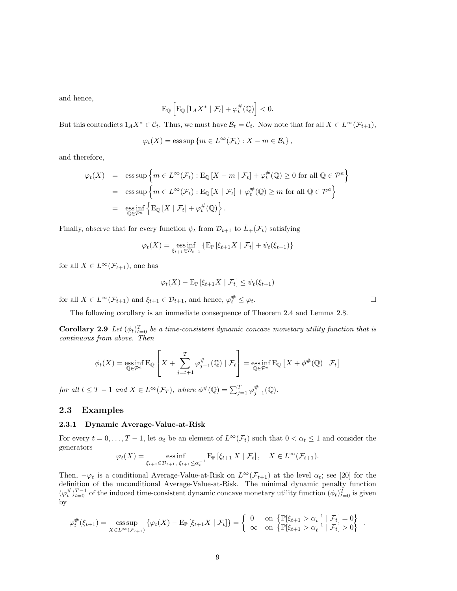and hence,

$$
\mathrm{E}_{\mathbb{Q}}\left[\mathrm{E}_{\mathbb{Q}}\left[1_{A}X^{*} \mid \mathcal{F}_{t}\right]+\varphi_{t}^{\#}(\mathbb{Q})\right]<0.
$$

But this contradicts  $1_A X^* \in C_t$ . Thus, we must have  $\mathcal{B}_t = C_t$ . Now note that for all  $X \in L^{\infty}(\mathcal{F}_{t+1}),$ 

$$
\varphi_t(X) = \operatorname{ess} \operatorname{sup} \left\{ m \in L^{\infty}(\mathcal{F}_t) : X - m \in \mathcal{B}_t \right\},\
$$

and therefore,

$$
\varphi_t(X) = \operatorname{ess} \operatorname{sup} \left\{ m \in L^{\infty}(\mathcal{F}_t) : \operatorname{E}_{\mathbb{Q}} \left[ X - m \mid \mathcal{F}_t \right] + \varphi_t^{\#}(\mathbb{Q}) \ge 0 \text{ for all } \mathbb{Q} \in \mathcal{P}^a \right\}
$$
  
= 
$$
\operatorname{ess} \operatorname{sup} \left\{ m \in L^{\infty}(\mathcal{F}_t) : \operatorname{E}_{\mathbb{Q}} \left[ X \mid \mathcal{F}_t \right] + \varphi_t^{\#}(\mathbb{Q}) \ge m \text{ for all } \mathbb{Q} \in \mathcal{P}^a \right\}
$$
  
= 
$$
\operatorname{ess} \operatorname{inf} \left\{ \operatorname{E}_{\mathbb{Q}} \left[ X \mid \mathcal{F}_t \right] + \varphi_t^{\#}(\mathbb{Q}) \right\}.
$$

Finally, observe that for every function  $\psi_t$  from  $\mathcal{D}_{t+1}$  to  $\bar{L}_+(\mathcal{F}_t)$  satisfying

$$
\varphi_t(X) = \underset{\xi_{t+1} \in \mathcal{D}_{t+1}}{\text{ess inf}} \{ \mathbb{E}_{\mathbb{P}} \left[ \xi_{t+1} X \mid \mathcal{F}_t \right] + \psi_t(\xi_{t+1}) \}
$$

for all  $X \in L^{\infty}(\mathcal{F}_{t+1})$ , one has

$$
\varphi_t(X) - \mathrm{E}_{\mathbb{P}}\left[\xi_{t+1}X \mid \mathcal{F}_t\right] \leq \psi_t(\xi_{t+1})
$$

for all  $X \in L^{\infty}(\mathcal{F}_{t+1})$  and  $\xi_{t+1} \in \mathcal{D}_{t+1}$ , and hence,  $\varphi_t^{\#} \leq \varphi_t$ .

The following corollary is an immediate consequence of Theorem 2.4 and Lemma 2.8.

**Corollary 2.9** *Let*  $(\phi_t)_{t=0}^T$  *be a time-consistent dynamic concave monetary utility function that is continuous from above. Then*

$$
\phi_t(X) = \operatorname*{ess\,inf}_{\mathbb{Q}\in\mathcal{P}^a} E_{\mathbb{Q}}\left[X + \sum_{j=t+1}^T \varphi_{j-1}^{\#}(\mathbb{Q}) \mid \mathcal{F}_t\right] = \operatorname*{ess\,inf}_{\mathbb{Q}\in\mathcal{P}^a} E_{\mathbb{Q}}\left[X + \phi^{\#}(\mathbb{Q}) \mid \mathcal{F}_t\right]
$$

*for all*  $t \leq T - 1$  *and*  $X \in L^{\infty}(\mathcal{F}_T)$ *, where*  $\phi^{\#}(\mathbb{Q}) = \sum_{j=1}^{T} \varphi_{j-1}^{\#}(\mathbb{Q})$ *.* 

# **2.3 Examples**

### **2.3.1 Dynamic Average-Value-at-Risk**

For every  $t = 0, \ldots, T-1$ , let  $\alpha_t$  be an element of  $L^\infty(\mathcal{F}_t)$  such that  $0 < \alpha_t \leq 1$  and consider the generators

$$
\varphi_t(X) = \underset{\xi_{t+1} \in \mathcal{D}_{t+1}, \xi_{t+1} \leq \alpha_t^{-1}}{\operatorname{ess\,inf}} \mathbb{E}_{\mathbb{P}} \left[ \xi_{t+1} X \mid \mathcal{F}_t \right], \quad X \in L^{\infty}(\mathcal{F}_{t+1}).
$$

Then,  $-\varphi_t$  is a conditional Average-Value-at-Risk on  $L^\infty(\mathcal{F}_{t+1})$  at the level  $\alpha_t$ ; see [20] for the definition of the unconditional Average-Value-at-Risk. The minimal dynamic penalty function  $(\varphi_t^{\#})_{t=0}^{T-1}$  of the induced time-consistent dynamic concave monetary utility function  $(\phi_t)_{t=0}^{T}$  is given by

$$
\varphi_t^{\#}(\xi_{t+1}) = \operatorname*{ess\,sup}_{X \in L^{\infty}(\mathcal{F}_{t+1})} {\varphi_t(X) - E_{\mathbb{P}}[\xi_{t+1}X \mid \mathcal{F}_t]} = \begin{cases} 0 & \text{on } {\mathbb{P}[\xi_{t+1} > \alpha_t^{-1} \mid \mathcal{F}_t] = 0} \\ \infty & \text{on } {\mathbb{P}[\xi_{t+1} > \alpha_t^{-1} \mid \mathcal{F}_t] > 0} \end{cases}.
$$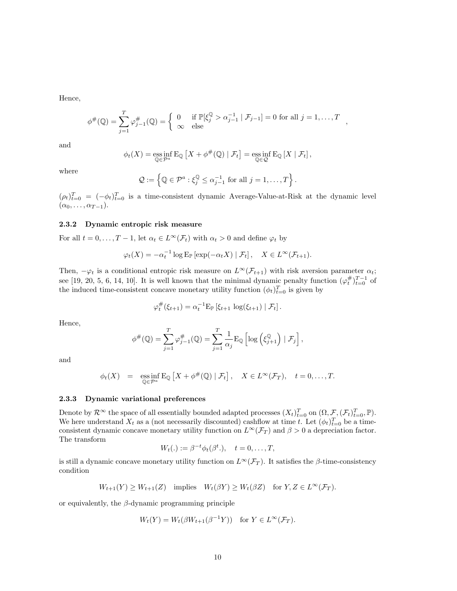Hence,

$$
\phi^{\#}(\mathbb{Q}) = \sum_{j=1}^{T} \varphi_{j-1}^{\#}(\mathbb{Q}) = \begin{cases} 0 & \text{if } \mathbb{P}[\xi_j^{\mathbb{Q}} > \alpha_{j-1}^{-1} \mid \mathcal{F}_{j-1}] = 0 \text{ for all } j = 1, \dots, T \\ \infty & \text{else} \end{cases}
$$

and

$$
\phi_t(X) = \operatorname*{ess\,inf}_{\mathbb{Q}\in\mathcal{P}^a} E_{\mathbb{Q}}\left[X + \phi^{\#}(\mathbb{Q}) \mid \mathcal{F}_t\right] = \operatorname*{ess\,inf}_{\mathbb{Q}\in\mathcal{Q}} E_{\mathbb{Q}}\left[X \mid \mathcal{F}_t\right],
$$

where

$$
\mathcal{Q} := \left\{ \mathbb{Q} \in \mathcal{P}^a : \xi_j^{\mathbb{Q}} \leq \alpha_{j-1}^{-1} \text{ for all } j = 1, \dots, T \right\}.
$$

 $(\rho_t)_{t=0}^T = (-\phi_t)_{t=0}^T$  is a time-consistent dynamic Average-Value-at-Risk at the dynamic level  $(\alpha_0, \ldots, \alpha_{T-1}).$ 

#### **2.3.2 Dynamic entropic risk measure**

For all  $t = 0, \ldots, T - 1$ , let  $\alpha_t \in L^\infty(\mathcal{F}_t)$  with  $\alpha_t > 0$  and define  $\varphi_t$  by

$$
\varphi_t(X) = -\alpha_t^{-1} \log \mathbb{E}_{\mathbb{P}} \left[ \exp(-\alpha_t X) \mid \mathcal{F}_t \right], \quad X \in L^{\infty}(\mathcal{F}_{t+1}).
$$

Then,  $-\varphi_t$  is a conditional entropic risk measure on  $L^\infty(\mathcal{F}_{t+1})$  with risk aversion parameter  $\alpha_t$ ; see [19, 20, 5, 6, 14, 10]. It is well known that the minimal dynamic penalty function  $(\varphi_t^{\#})_{t=0}^{T-1}$  of the induced time-consistent concave monetary utility function  $(\phi_t)_{t=0}^T$  is given by

$$
\varphi_t^{\#}(\xi_{t+1}) = \alpha_t^{-1} \mathrm{E}_{\mathbb{P}} \left[ \xi_{t+1} \, \log(\xi_{t+1}) \mid \mathcal{F}_t \right].
$$

Hence,

$$
\phi^{\#}(\mathbb{Q}) = \sum_{j=1}^{T} \varphi_{j-1}^{\#}(\mathbb{Q}) = \sum_{j=1}^{T} \frac{1}{\alpha_j} \mathrm{E}_{\mathbb{Q}} \left[ \log \left( \xi_{j+1}^{\mathbb{Q}} \right) \mid \mathcal{F}_j \right],
$$

and

$$
\phi_t(X) = \operatorname*{ess\,inf}_{\mathbb{Q}\in\mathcal{P}^a} E_{\mathbb{Q}}\left[X + \phi^{\#}(\mathbb{Q}) \mid \mathcal{F}_t\right], \quad X \in L^{\infty}(\mathcal{F}_T), \quad t = 0,\ldots,T.
$$

#### **2.3.3 Dynamic variational preferences**

Denote by  $\mathcal{R}^{\infty}$  the space of all essentially bounded adapted processes  $(X_t)_{t=0}^T$  on  $(\Omega, \mathcal{F}, (\mathcal{F}_t)_{t=0}^T, \mathbb{P})$ . We here understand  $X_t$  as a (not necessarily discounted) cashflow at time *t*. Let  $(\phi_t)_{t=0}^T$  be a timeconsistent dynamic concave monetary utility function on  $L^{\infty}(\mathcal{F}_T)$  and  $\beta > 0$  a depreciation factor. The transform

$$
W_t(.) := \beta^{-t} \phi_t(\beta^t.), \quad t = 0, \dots, T,
$$

is still a dynamic concave monetary utility function on  $L^{\infty}(\mathcal{F}_T)$ . It satisfies the  $\beta$ -time-consistency condition

$$
W_{t+1}(Y) \ge W_{t+1}(Z) \quad \text{implies} \quad W_t(\beta Y) \ge W_t(\beta Z) \quad \text{for } Y, Z \in L^{\infty}(\mathcal{F}_T).
$$

or equivalently, the *β*-dynamic programming principle

$$
W_t(Y) = W_t(\beta W_{t+1}(\beta^{-1}Y)) \text{ for } Y \in L^{\infty}(\mathcal{F}_T).
$$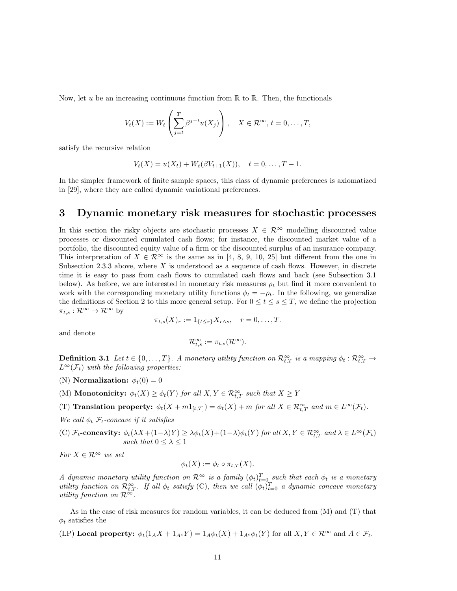Now, let  $u$  be an increasing continuous function from  $\mathbb R$  to  $\mathbb R$ . Then, the functionals

$$
V_t(X) := W_t\left(\sum_{j=t}^T \beta^{j-t} u(X_j)\right), \quad X \in \mathcal{R}^{\infty}, t = 0, \dots, T,
$$

satisfy the recursive relation

$$
V_t(X) = u(X_t) + W_t(\beta V_{t+1}(X)), \quad t = 0, \dots, T-1.
$$

In the simpler framework of finite sample spaces, this class of dynamic preferences is axiomatized in [29], where they are called dynamic variational preferences.

# **3 Dynamic monetary risk measures for stochastic processes**

In this section the risky objects are stochastic processes  $X \in \mathcal{R}^{\infty}$  modelling discounted value processes or discounted cumulated cash flows; for instance, the discounted market value of a portfolio, the discounted equity value of a firm or the discounted surplus of an insurance company. This interpretation of  $X \in \mathcal{R}^{\infty}$  is the same as in [4, 8, 9, 10, 25] but different from the one in Subsection 2.3.3 above, where  $X$  is understood as a sequence of cash flows. However, in discrete time it is easy to pass from cash flows to cumulated cash flows and back (see Subsection 3.1 below). As before, we are interested in monetary risk measures  $\rho_t$  but find it more convenient to work with the corresponding monetary utility functions  $\phi_t = -\rho_t$ . In the following, we generalize the definitions of Section 2 to this more general setup. For  $0 \le t \le s \le T$ , we define the projection  $\pi_{t,s} : \mathcal{R}^{\infty} \to \mathcal{R}^{\infty}$  by

$$
\pi_{t,s}(X)_r := 1_{\{t \leq r\}} X_{r \wedge s}, \quad r = 0, \dots, T.
$$

and denote

$$
\mathcal{R}_{t,s}^{\infty}:=\pi_{t,s}(\mathcal{R}^{\infty}).
$$

**Definition 3.1** *Let*  $t \in \{0, ..., T\}$ *.* A monetary utility function on  $\mathcal{R}_{t,T}^{\infty}$  *is a mapping*  $\phi_t : \mathcal{R}_{t,T}^{\infty} \to$  $L^{\infty}(\mathcal{F}_t)$  *with the following properties:* 

- (N) **Normalization:**  $\phi_t(0) = 0$
- (M) **Monotonicity:**  $\phi_t(X) \geq \phi_t(Y)$  for all  $X, Y \in \mathcal{R}_{t,T}^{\infty}$  such that  $X \geq Y$

(T) **Translation property:**  $\phi_t(X + m1_{[t,T]}) = \phi_t(X) + m$  for all  $X \in \mathcal{R}_{t,T}^{\infty}$  and  $m \in L^{\infty}(\mathcal{F}_t)$ .

*We call*  $\phi_t$   $\mathcal{F}_t$ -concave if it satisfies

(C)  $\mathcal{F}_t$ -concavity:  $\phi_t(\lambda X + (1-\lambda)Y) \geq \lambda \phi_t(X) + (1-\lambda)\phi_t(Y)$  for all  $X, Y \in \mathcal{R}_{t,T}^{\infty}$  and  $\lambda \in L^{\infty}(\mathcal{F}_t)$ *such that*  $0 \leq \lambda \leq 1$ 

*For*  $X \in \mathbb{R}^{\infty}$  *we set* 

$$
\phi_t(X) := \phi_t \circ \pi_{t,T}(X).
$$

*A* dynamic monetary utility function on  $\mathcal{R}^{\infty}$  is a family  $(\phi_t)_{t=0}^T$  such that each  $\phi_t$  is a monetary *utility function on*  $\mathcal{R}_{t,T}^{\infty}$ . If all  $\phi_t$  satisfy (C), then we call  $(\phi_t)_{t=0}^T$  a dynamic concave monetary *utility function on*  $\mathcal{R}^{\infty}$ *.* 

As in the case of risk measures for random variables, it can be deduced from (M) and (T) that  $\phi_t$  satisfies the

(LP) **Local property:**  $\phi_t(1_A X + 1_{A^c} Y) = 1_A \phi_t(X) + 1_{A^c} \phi_t(Y)$  for all  $X, Y \in \mathbb{R}^{\infty}$  and  $A \in \mathcal{F}_t$ .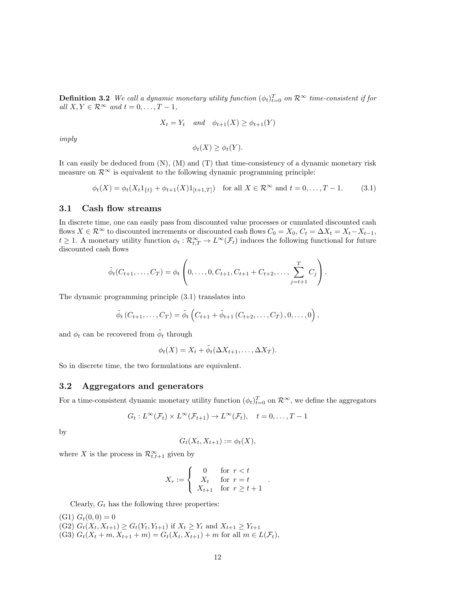**Definition 3.2** *We call a dynamic monetary utility function*  $(\phi_t)_{t=0}^T$  *on*  $\mathcal{R}^{\infty}$  *time-consistent if for*  $all X, Y \in \mathbb{R}^{\infty}$  *and*  $t = 0, \ldots, T-1$ *,* 

$$
X_t = Y_t \quad and \quad \phi_{t+1}(X) \ge \phi_{t+1}(Y)
$$

*imply*

$$
\phi_t(X) \ge \phi_t(Y).
$$

It can easily be deduced from  $(N)$ ,  $(M)$  and  $(T)$  that time-consistency of a dynamic monetary risk measure on  $\mathcal{R}^{\infty}$  is equivalent to the following dynamic programming principle:

$$
\phi_t(X) = \phi_t(X_t 1_{\{t\}} + \phi_{t+1}(X) 1_{[t+1,T]}) \quad \text{for all } X \in \mathcal{R}^{\infty} \text{ and } t = 0, \dots, T-1.
$$
 (3.1)

# **3.1 Cash flow streams**

In discrete time, one can easily pass from discounted value processes or cumulated discounted cash flows  $X \in \mathbb{R}^\infty$  to discounted increments or discounted cash flows  $C_0 = X_0, C_t = \Delta X_t = X_t - X_{t-1}$ ,  $t \geq 1$ . A monetary utility function  $\phi_t : \mathcal{R}^{\infty}_{t,T} \to L^{\infty}(\mathcal{F}_t)$  induces the following functional for future discounted cash flows

$$
\tilde{\phi}_t(C_{t+1},\ldots,C_T) = \phi_t\left(0,\ldots,0,C_{t+1},C_{t+1}+C_{t+2},\ldots,\sum_{j=t+1}^T C_j\right).
$$

The dynamic programming principle (3.1) translates into

$$
\tilde{\phi}_t(C_{t+1},...,C_T) = \tilde{\phi}_t(C_{t+1} + \tilde{\phi}_{t+1}(C_{t+2},...,C_T),0,...,0),
$$

and  $\phi_t$  can be recovered from  $\tilde{\phi}_t$  through

 $\phi_t(X) = X_t + \tilde{\phi}_t(\Delta X_{t+1}, \dots, \Delta X_T).$ 

So in discrete time, the two formulations are equivalent.

# **3.2 Aggregators and generators**

For a time-consistent dynamic monetary utility function  $(\phi_t)_{t=0}^T$  on  $\mathcal{R}^{\infty}$ , we define the aggregators

$$
G_t: L^{\infty}(\mathcal{F}_t) \times L^{\infty}(\mathcal{F}_{t+1}) \to L^{\infty}(\mathcal{F}_t), \quad t = 0, \ldots, T-1
$$

by

$$
G_t(X_t, X_{t+1}) := \phi_t(X),
$$

where *X* is the process in  $\mathcal{R}^{\infty}_{t,t+1}$  given by

$$
X_r := \begin{cases} 0 & \text{for } r < t \\ X_t & \text{for } r = t \\ X_{t+1} & \text{for } r \ge t+1 \end{cases}.
$$

Clearly,  $G_t$  has the following three properties:

 $(G1) G<sub>t</sub>(0,0) = 0$  $(G2)$   $G_t(X_t, X_{t+1}) \geq G_t(Y_t, Y_{t+1})$  if  $X_t \geq Y_t$  and  $X_{t+1} \geq Y_{t+1}$  $(G3) G_t(X_t + m, X_{t+1} + m) = G_t(X_t, X_{t+1}) + m$  for all  $m \in L(\mathcal{F}_t)$ ,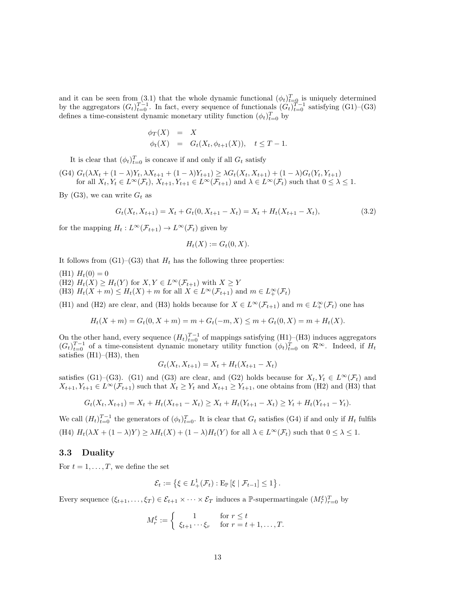and it can be seen from (3.1) that the whole dynamic functional  $(\phi_t)_{t=0}^T$  is uniquely determined by the aggregators  $(G_t)_{t=0}^{T-1}$ . In fact, every sequence of functionals  $(G_t)_{t=0}^{T-1}$  satisfying (G1)–(G3) defines a time-consistent dynamic monetary utility function  $(\phi_t)_{t=0}^T$  by

$$
\begin{array}{rcl}\n\phi_T(X) & = & X \\
\phi_t(X) & = & G_t(X_t, \phi_{t+1}(X)), \quad t \le T - 1.\n\end{array}
$$

It is clear that  $(\phi_t)_{t=0}^T$  is concave if and only if all  $G_t$  satisfy

(G4)  $G_t(\lambda X_t + (1 - \lambda)Y_t, \lambda X_{t+1} + (1 - \lambda)Y_{t+1}) \geq \lambda G_t(X_t, X_{t+1}) + (1 - \lambda)G_t(Y_t, Y_{t+1})$ for all  $X_t, Y_t \in L^{\infty}(\mathcal{F}_t), X_{t+1}, Y_{t+1} \in L^{\infty}(\mathcal{F}_{t+1})$  and  $\lambda \in L^{\infty}(\mathcal{F}_t)$  such that  $0 \leq \lambda \leq 1$ .

By (G3), we can write  $G_t$  as

$$
G_t(X_t, X_{t+1}) = X_t + G_t(0, X_{t+1} - X_t) = X_t + H_t(X_{t+1} - X_t),
$$
\n(3.2)

for the mapping  $H_t: L^{\infty}(\mathcal{F}_{t+1}) \to L^{\infty}(\mathcal{F}_t)$  given by

$$
H_t(X) := G_t(0,X).
$$

It follows from  $(G1)$ – $(G3)$  that  $H_t$  has the following three properties:

 $(H1)$   $H_t(0) = 0$ 

- (H2)  $H_t(X) \ge H_t(Y)$  for  $X, Y \in L^\infty(\mathcal{F}_{t+1})$  with  $X \ge Y$
- (H3)  $H_t(X + m) \leq H_t(X) + m$  for all  $X \in L^\infty(\mathcal{F}_{t+1})$  and  $m \in L^\infty_+(\mathcal{F}_t)$

(H1) and (H2) are clear, and (H3) holds because for  $X \in L^{\infty}(\mathcal{F}_{t+1})$  and  $m \in L^{\infty}_{+}(\mathcal{F}_{t})$  one has

$$
H_t(X+m) = G_t(0, X+m) = m + G_t(-m, X) \le m + G_t(0, X) = m + H_t(X).
$$

On the other hand, every sequence  $(H_t)_{t=0}^{T-1}$  of mappings satisfying (H1)–(H3) induces aggregators  $(G_t)_{t=0}^{T-1}$  of a time-consistent dynamic monetary utility function  $(\phi_t)_{t=0}^T$  on  $\mathcal{R}^{\infty}$ . Indeed, if  $H_t$ satisfies  $(H1)–(H3)$ , then

$$
G_t(X_t, X_{t+1}) = X_t + H_t(X_{t+1} - X_t)
$$

satisfies (G1)–(G3). (G1) and (G3) are clear, and (G2) holds because for  $X_t, Y_t \in L^{\infty}(\mathcal{F}_t)$  and  $X_{t+1}, Y_{t+1} \in L^{\infty}(\mathcal{F}_{t+1})$  such that  $X_t \geq Y_t$  and  $X_{t+1} \geq Y_{t+1}$ , one obtains from (H2) and (H3) that

$$
G_t(X_t, X_{t+1}) = X_t + H_t(X_{t+1} - X_t) \ge X_t + H_t(Y_{t+1} - X_t) \ge Y_t + H_t(Y_{t+1} - Y_t).
$$

We call  $(H_t)_{t=0}^{T-1}$  the generators of  $(\phi_t)_{t=0}^T$ . It is clear that  $G_t$  satisfies (G4) if and only if  $H_t$  fulfils (H4)  $H_t(\lambda X + (1 - \lambda)Y) \geq \lambda H_t(X) + (1 - \lambda)H_t(Y)$  for all  $\lambda \in L^{\infty}(\mathcal{F}_t)$  such that  $0 \leq \lambda \leq 1$ .

### **3.3 Duality**

For  $t = 1, \ldots, T$ , we define the set

$$
\mathcal{E}_t := \left\{ \xi \in L_+^1(\mathcal{F}_t) : \mathrm{E}_{\mathbb{P}} \left[ \xi \mid \mathcal{F}_{t-1} \right] \leq 1 \right\}.
$$

Every sequence  $(\xi_{t+1}, \ldots, \xi_T) \in \mathcal{E}_{t+1} \times \cdots \times \mathcal{E}_T$  induces a  $\mathbb{P}$ -supermartingale  $(M_r^{\xi})_{r=0}^T$  by

$$
M_r^{\xi} := \begin{cases} 1 & \text{for } r \le t \\ \xi_{t+1} \cdots \xi_r & \text{for } r = t+1, \dots, T. \end{cases}
$$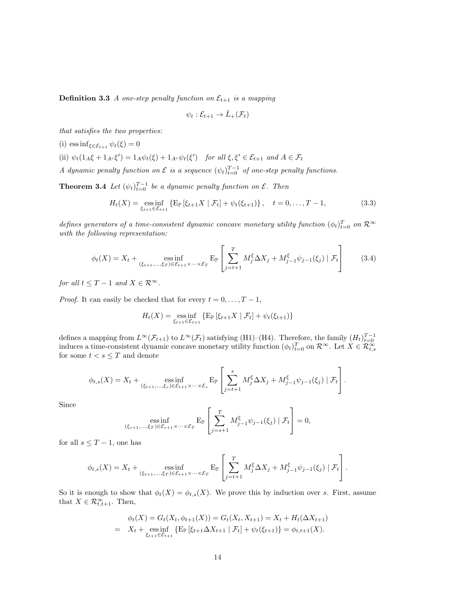**Definition 3.3** *A one-step penalty function on*  $\mathcal{E}_{t+1}$  *is a mapping* 

$$
\psi_t : \mathcal{E}_{t+1} \to \bar{L}_+(\mathcal{F}_t)
$$

*that satisfies the two properties:*

(i) 
$$
\operatorname{ess inf}_{\xi \in \mathcal{E}_{t+1}} \psi_t(\xi) = 0
$$

(ii)  $\psi_t(1_A\xi + 1_{A^c}\xi') = 1_A\psi_t(\xi) + 1_{A^c}\psi_t(\xi')$  for all  $\xi, \xi' \in \mathcal{E}_{t+1}$  and  $A \in \mathcal{F}_t$ 

*A* dynamic penalty function on  $\mathcal{E}$  is a sequence  $(\psi_t)_{t=0}^{T-1}$  of one-step penalty functions.

**Theorem 3.4** *Let*  $(\psi_t)_{t=0}^{T-1}$  *be a dynamic penalty function on*  $\mathcal{E}$ *. Then* 

$$
H_t(X) = \underset{\xi_{t+1} \in \mathcal{E}_{t+1}}{\text{ess inf}} \{ \mathbb{E}_{\mathbb{P}} \left[ \xi_{t+1} X \mid \mathcal{F}_t \right] + \psi_t(\xi_{t+1}) \}, \quad t = 0, \dots, T-1,
$$
 (3.3)

*defines generators of a time-consistent dynamic concave monetary utility function*  $(\phi_t)_{t=0}^T$  on  $\mathcal{R}^{\infty}$ *with the following representation:*

$$
\phi_t(X) = X_t + \underset{(\xi_{t+1}, \dots, \xi_T) \in \mathcal{E}_{t+1} \times \dots \times \mathcal{E}_T}{\text{ess inf}} \mathbb{E}_{\mathbb{P}} \left[ \sum_{j=t+1}^T M_j^{\xi} \Delta X_j + M_{j-1}^{\xi} \psi_{j-1}(\xi_j) \mid \mathcal{F}_t \right] \tag{3.4}
$$

*for all*  $t < T - 1$  *and*  $X \in \mathbb{R}^{\infty}$ .

*Proof.* It can easily be checked that for every  $t = 0, \ldots, T-1$ ,

$$
H_t(X) = \underset{\xi_{t+1} \in \mathcal{E}_{t+1}}{\text{ess inf}} \{ \mathbb{E}_{\mathbb{P}} \left[ \xi_{t+1} X \mid \mathcal{F}_t \right] + \psi_t(\xi_{t+1}) \}
$$

defines a mapping from  $L^{\infty}(\mathcal{F}_{t+1})$  to  $L^{\infty}(\mathcal{F}_t)$  satisfying (H1)–(H4). Therefore, the family  $(H_t)_{t=0}^{T-1}$ <br>induces a time-consistent dynamic concave monetary utility function  $(\phi_t)_{t=0}^T$  on  $\mathcal{R}^{\infty}$ . for some  $t < s \leq T$  and denote

$$
\phi_{t,s}(X) = X_t + \underset{(\xi_{t+1},\ldots,\xi_s)\in\mathcal{E}_{t+1}\times\cdots\times\mathcal{E}_s}{\text{ess}\inf} \left[ \sum_{j=t+1}^s M_j^{\xi} \Delta X_j + M_{j-1}^{\xi} \psi_{j-1}(\xi_j) \mid \mathcal{F}_t \right].
$$

Since

$$
\underset{(\xi_{s+1},\ldots,\xi_T)\in\mathcal{E}_{s+1}\times\cdots\times\mathcal{E}_T}{\text{ess}\inf}\left[\sum_{j=s+1}^T M_{j-1}^{\xi}\psi_{j-1}(\xi_j) \mid \mathcal{F}_t\right] = 0,
$$

for all  $s \leq T - 1$ , one has

$$
\phi_{t,s}(X) = X_t + \underset{(\xi_{t+1},\ldots,\xi_T)\in\mathcal{E}_{t+1}\times\cdots\times\mathcal{E}_T}{\text{ess}\inf} \left[ \sum_{j=t+1}^T M_j^{\xi} \Delta X_j + M_{j-1}^{\xi} \psi_{j-1}(\xi_j) \mid \mathcal{F}_t \right].
$$

So it is enough to show that  $\phi_t(X) = \phi_{t,s}(X)$ . We prove this by induction over *s*. First, assume that  $X \in \mathcal{R}_{t,t+1}^{\infty}$ . Then,

$$
\phi_t(X) = G_t(X_t, \phi_{t+1}(X)) = G_t(X_t, X_{t+1}) = X_t + H_t(\Delta X_{t+1})
$$
  
=  $X_t + \operatorname*{ess\,inf}_{\xi_{t+1} \in \mathcal{E}_{t+1}} \{ E_{\mathbb{P}} \left[ \xi_{t+1} \Delta X_{t+1} \mid \mathcal{F}_t \right] + \psi_t(\xi_{t+1}) \} = \phi_{t,t+1}(X).$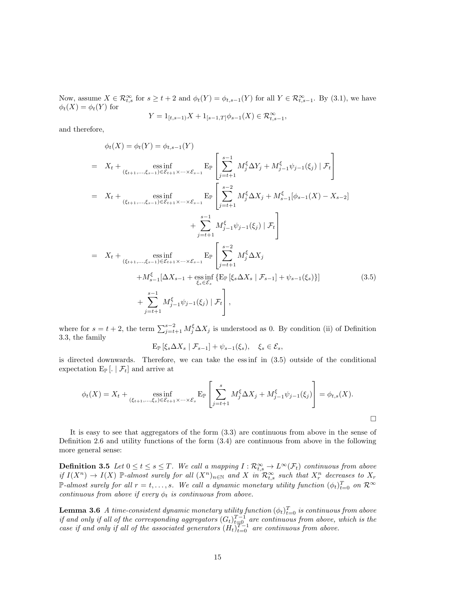Now, assume  $X \in \mathcal{R}_{t,s}^{\infty}$  for  $s \geq t+2$  and  $\phi_t(Y) = \phi_{t,s-1}(Y)$  for all  $Y \in \mathcal{R}_{t,s-1}^{\infty}$ . By (3.1), we have  $\phi_t(X) = \phi_t(Y)$  for

$$
Y=1_{[t,s-1)}X+1_{[s-1,T]}\phi_{s-1}(X)\in\mathcal{R}_{t,s-1}^{\infty},
$$

and therefore,

$$
\phi_t(X) = \phi_t(Y) = \phi_{t,s-1}(Y)
$$
\n
$$
= X_t + \underset{(\xi_{t+1}, ..., \xi_{s-1}) \in \mathcal{E}_{t+1} \times ... \times \mathcal{E}_{s-1}}{\text{ess inf}} \mathbb{E}_{\mathbb{P}} \left[ \sum_{j=t+1}^{s-1} M_j^{\xi} \Delta Y_j + M_{j-1}^{\xi} \psi_{j-1}(\xi_j) \mid \mathcal{F}_t \right]
$$
\n
$$
= X_t + \underset{(\xi_{t+1}, ..., \xi_{s-1}) \in \mathcal{E}_{t+1} \times ... \times \mathcal{E}_{s-1}}{\text{ess inf}} \mathbb{E}_{\mathbb{P}} \left[ \sum_{j=t+1}^{s-2} M_j^{\xi} \Delta X_j + M_{s-1}^{\xi} [\phi_{s-1}(X) - X_{s-2}] + \sum_{j=t+1}^{s-1} M_{j-1}^{\xi} \psi_{j-1}(\xi_j) \mid \mathcal{F}_t \right]
$$
\n
$$
= X_t + \underset{(\xi_{t+1}, ..., \xi_{s-1}) \in \mathcal{E}_{t+1} \times ... \times \mathcal{E}_{s-1}}{\text{ess inf}} \mathbb{E}_{\mathbb{P}} \left[ \sum_{j=t+1}^{s-2} M_j^{\xi} \Delta X_j + M_{s-1}^{\xi} [\Delta X_{s-1} + \underset{\xi_s \in \mathcal{E}_s}{\text{ess inf}} \left\{ \mathbb{E}_{\mathbb{P}} [\xi_s \Delta X_s \mid \mathcal{F}_{s-1}] + \psi_{s-1}(\xi_s) \right\} \right]
$$
\n
$$
+ \sum_{j=t+1}^{s-1} M_{j-1}^{\xi} \psi_{j-1}(\xi_j) \mid \mathcal{F}_t \right], \tag{3.5}
$$

where for  $s = t + 2$ , the term  $\sum_{j=t+1}^{s-2} M_j^{\xi} \Delta X_j$  is understood as 0. By condition (ii) of Definition 3.3, the family

$$
\mathbb{E}_{\mathbb{P}}\left[\xi_s \Delta X_s \mid \mathcal{F}_{s-1}\right] + \psi_{s-1}(\xi_s), \quad \xi_s \in \mathcal{E}_s,
$$

is directed downwards. Therefore, we can take the ess inf in (3.5) outside of the conditional expectation  $E_{\mathbb{P}}\left[\ldots \mid \mathcal{F}_t\right]$  and arrive at

$$
\phi_t(X) = X_t + \underset{(\xi_{t+1},\ldots,\xi_s)\in\mathcal{E}_{t+1}\times\cdots\times\mathcal{E}_s}{\text{ess}\inf} \left[ \sum_{j=t+1}^s M_j^{\xi} \Delta X_j + M_{j-1}^{\xi} \psi_{j-1}(\xi_j) \right] = \phi_{t,s}(X).
$$

It is easy to see that aggregators of the form (3.3) are continuous from above in the sense of Definition 2.6 and utility functions of the form (3.4) are continuous from above in the following more general sense:

**Definition 3.5** Let  $0 \le t \le s \le T$ . We call a mapping  $I : \mathcal{R}_{t,s}^{\infty} \to L^{\infty}(\mathcal{F}_{t})$  continuous from above if  $I(X^n) \to I(X)$  P-almost surely for all  $(X^n)_{n \in \mathbb{N}}$  and X in  $\mathcal{R}^{\infty}_{t,s}$  such that  $X^n_r$  decreases to  $X_r$  $\mathbb{P}\text{-}almost surely for all } r = t, \ldots, s$ *. We call a dynamic monetary utility function*  $(\phi_t)_{t=0}^T$  *on*  $\mathcal{R}^{\infty}$ *continuous from above if every*  $\phi_t$  *is continuous from above.* 

 $\bf{Lemma 3.6}$  *A time-consistent dynamic monetary utility function*  $(\phi_t)_{t=0}^T$  *is continuous from above if and only if all of the corresponding aggregators*  $(G_t)_{t=0}^{T-1}$  *are continuous from above, which is the case if and only if all of the associated generators*  $(H_t)_{t=0}^{T-1}$  *are continuous from above.*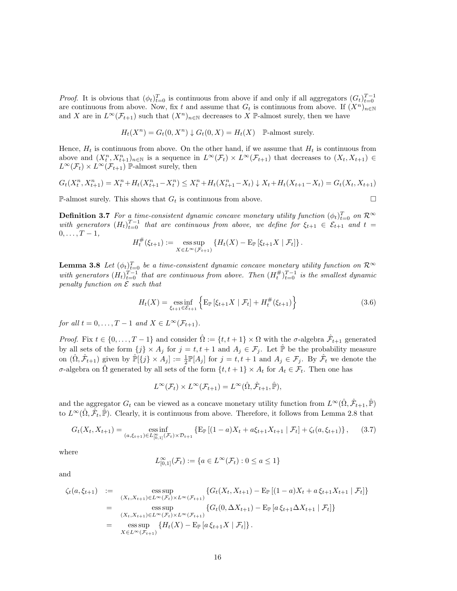*Proof.* It is obvious that  $(\phi_t)_{t=0}^T$  is continuous from above if and only if all aggregators  $(G_t)_{t=0}^{T-1}$ are continuous from above. Now, fix *t* and assume that  $G_t$  is continuous from above. If  $(X^n)_{n\in\mathbb{N}}$ and *X* are in  $L^{\infty}(\mathcal{F}_{t+1})$  such that  $(X^n)_{n\in\mathbb{N}}$  decreases to *X* P-almost surely, then we have

$$
H_t(X^n) = G_t(0, X^n) \downarrow G_t(0, X) = H_t(X) \quad \mathbb{P}\text{-almost surely.}
$$

Hence,  $H_t$  is continuous from above. On the other hand, if we assume that  $H_t$  is continuous from above and  $(X_t^n, X_{t+1}^n)_{n \in \mathbb{N}}$  is a sequence in  $L^{\infty}(\mathcal{F}_t) \times L^{\infty}(\mathcal{F}_{t+1})$  that decreases to  $(X_t, X_{t+1}) \in$  $L^{\infty}(\mathcal{F}_t) \times L^{\infty}(\mathcal{F}_{t+1})$  P-almost surely, then

$$
G_t(X_t^n, X_{t+1}^n) = X_t^n + H_t(X_{t+1}^n - X_t^n) \le X_t^n + H_t(X_{t+1}^n - X_t) \downarrow X_t + H_t(X_{t+1} - X_t) = G_t(X_t, X_{t+1})
$$

P-almost surely. This shows that  $G_t$  is continuous from above.

**Definition 3.7** *For a time-consistent dynamic concave monetary utility function*  $(\phi_t)_{t=0}^T$  *on*  $\mathcal{R}^{\infty}$ *with generators*  $(H_t)_{t=0}^{T-1}$  *that are continuous from above, we define for*  $\xi_{t+1} \in \mathcal{E}_{t+1}$  *and*  $t =$ 0*, . . . , T −* 1*,*

$$
H_t^{\#}(\xi_{t+1}) := \operatorname*{ess\,sup}_{X \in L^{\infty}(\mathcal{F}_{t+1})} \left\{ H_t(X) - \mathbb{E}_{\mathbb{P}} \left[ \xi_{t+1} X \mid \mathcal{F}_t \right] \right\}.
$$

**Lemma 3.8** *Let*  $(\phi_t)_{t=0}^T$  *be a time-consistent dynamic concave monetary utility function on*  $\mathcal{R}^{\infty}$ *with generators*  $(H_t)_{t=0}^{T-1}$  *that are continuous from above. Then*  $(H_t^{\#})_{t=0}^{T-1}$  *is the smallest dynamic penalty function on E such that*

$$
H_t(X) = \underset{\xi_{t+1} \in \mathcal{E}_{t+1}}{\text{ess inf}} \left\{ \mathbb{E}_{\mathbb{P}} \left[ \xi_{t+1} X \mid \mathcal{F}_t \right] + H_t^{\#}(\xi_{t+1}) \right\} \tag{3.6}
$$

*for all*  $t = 0, \ldots, T - 1$  *and*  $X \in L^\infty(\mathcal{F}_{t+1})$ *.* 

*Proof.* Fix  $t \in \{0, ..., T - 1\}$  and consider  $\hat{\Omega} := \{t, t + 1\} \times \Omega$  with the *σ*-algebra  $\hat{\mathcal{F}}_{t+1}$  generated by all sets of the form  $\{j\} \times A_j$  for  $j = t, t + 1$  and  $A_j \in \mathcal{F}_j$ . Let  $\hat{\mathbb{P}}$  be the probability measure on  $(\hat{\Omega}, \hat{\mathcal{F}}_{t+1})$  given by  $\hat{\mathbb{P}}[\{j\} \times A_j] := \frac{1}{2} \mathbb{P}[A_j]$  for  $j = t, t+1$  and  $A_j \in \mathcal{F}_j$ . By  $\hat{\mathcal{F}}_t$  we denote the *σ*-algebra on  $\hat{\Omega}$  generated by all sets of the form  $\{t, t + 1\} \times A_t$  for  $A_t \in \mathcal{F}_t$ . Then one has

$$
L^{\infty}(\mathcal{F}_t) \times L^{\infty}(\mathcal{F}_{t+1}) = L^{\infty}(\hat{\Omega}, \hat{\mathcal{F}}_{t+1}, \hat{\mathbb{P}}),
$$

and the aggregator  $G_t$  can be viewed as a concave monetary utility function from  $L^\infty(\hat{\Omega}, \hat{\mathcal{F}}_{t+1}, \hat{\mathbb{P}})$ to  $L^{\infty}(\hat{\Omega}, \hat{\mathcal{F}}_t, \hat{\mathbb{P}})$ . Clearly, it is continuous from above. Therefore, it follows from Lemma 2.8 that

$$
G_t(X_t, X_{t+1}) = \underset{(a, \xi_{t+1}) \in L^{\infty}_{[0,1]}(\mathcal{F}_t) \times \mathcal{D}_{t+1}}{\text{ess inf}} \left\{ \mathbb{E}_{\mathbb{P}} \left[ (1-a)X_t + a\xi_{t+1} X_{t+1} \mid \mathcal{F}_t \right] + \zeta_t(a, \xi_{t+1}) \right\},\tag{3.7}
$$

where

$$
L^{\infty}_{[0,1]}(\mathcal{F}_t) := \{ a \in L^{\infty}(\mathcal{F}_t) : 0 \le a \le 1 \}
$$

and

$$
\zeta_t(a,\xi_{t+1}) := \text{ess}\sup_{(X_t, X_{t+1}) \in L^{\infty}(\mathcal{F}_t) \times L^{\infty}(\mathcal{F}_{t+1})} \{G_t(X_t, X_{t+1}) - \mathbb{E}_{\mathbb{P}}[(1-a)X_t + a\xi_{t+1}X_{t+1} | \mathcal{F}_t] \}
$$
\n
$$
= \text{ess}\sup_{(X_t, X_{t+1}) \in L^{\infty}(\mathcal{F}_t) \times L^{\infty}(\mathcal{F}_{t+1})} \{G_t(0, \Delta X_{t+1}) - \mathbb{E}_{\mathbb{P}}[a\xi_{t+1}\Delta X_{t+1} | \mathcal{F}_t] \}
$$
\n
$$
= \text{ess}\sup_{X \in L^{\infty}(\mathcal{F}_{t+1})} \{H_t(X) - \mathbb{E}_{\mathbb{P}}[a\xi_{t+1}X | \mathcal{F}_t] \}.
$$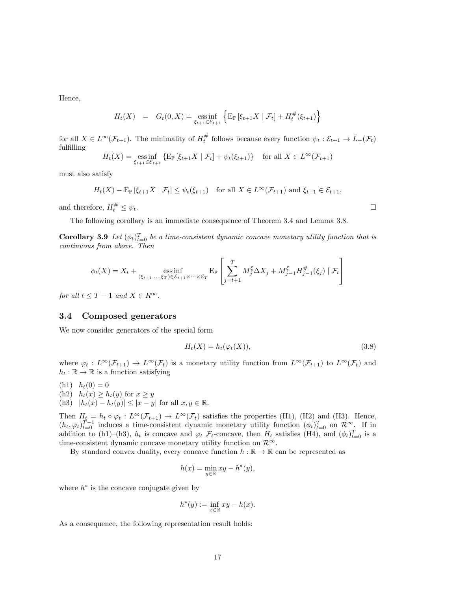Hence,

$$
H_t(X) = G_t(0, X) = \underset{\xi_{t+1} \in \mathcal{E}_{t+1}}{\text{ess inf}} \left\{ \mathbb{E}_{\mathbb{P}} \left[ \xi_{t+1} X \mid \mathcal{F}_t \right] + H_t^{\#}(\xi_{t+1}) \right\}
$$

for all  $X \in L^{\infty}(\mathcal{F}_{t+1})$ . The minimality of  $H_t^{\#}$  follows because every function  $\psi_t : \mathcal{E}_{t+1} \to \bar{L}_+(\mathcal{F}_t)$ fulfilling

$$
H_t(X) = \underset{\xi_{t+1} \in \mathcal{E}_{t+1}}{\text{ess inf}} \left\{ \mathbb{E}_{\mathbb{P}} \left[ \xi_{t+1} X \mid \mathcal{F}_t \right] + \psi_t(\xi_{t+1}) \right\} \quad \text{for all } X \in L^{\infty}(\mathcal{F}_{t+1})
$$

must also satisfy

$$
H_t(X) - \mathbb{E}_{\mathbb{P}}\left[\xi_{t+1}X \mid \mathcal{F}_t\right] \le \psi_t(\xi_{t+1}) \quad \text{for all } X \in L^\infty(\mathcal{F}_{t+1}) \text{ and } \xi_{t+1} \in \mathcal{E}_{t+1},
$$

and therefore,  $H_t^{\#}$  $\frac{t}{t} \leq \psi_t.$ 

The following corollary is an immediate consequence of Theorem 3.4 and Lemma 3.8.

**Corollary 3.9** *Let*  $(\phi_t)_{t=0}^T$  *be a time-consistent dynamic concave monetary utility function that is continuous from above. Then*

$$
\phi_t(X) = X_t + \mathop{\mathrm{ess\,inf}}_{(\xi_{t+1},...,\xi_T) \in \mathcal{E}_{t+1} \times ... \times \mathcal{E}_T} \mathbb{E}_{\mathbb{P}} \left[ \sum_{j=t+1}^T M_j^{\xi} \Delta X_j + M_{j-1}^{\xi} H_{j-1}^{\#}(\xi_j) \mid \mathcal{F}_t \right]
$$

*for all*  $t \leq T - 1$  *and*  $X \in R^{\infty}$ *.* 

### **3.4 Composed generators**

We now consider generators of the special form

$$
H_t(X) = h_t(\varphi_t(X)),\tag{3.8}
$$

where  $\varphi_t : L^{\infty}(\mathcal{F}_{t+1}) \to L^{\infty}(\mathcal{F}_t)$  is a monetary utility function from  $L^{\infty}(\mathcal{F}_{t+1})$  to  $L^{\infty}(\mathcal{F}_t)$  and  $h_t : \mathbb{R} \to \mathbb{R}$  is a function satisfying

- $(h1)$   $h_t(0) = 0$
- (h2)  $h_t(x) \geq h_t(y)$  for  $x \geq y$
- $(h3)$   $|h_t(x) h_t(y)| \le |x y|$  for all  $x, y \in \mathbb{R}$ .

Then  $H_t = h_t \circ \varphi_t : L^\infty(\mathcal{F}_{t+1}) \to L^\infty(\mathcal{F}_t)$  satisfies the properties (H1), (H2) and (H3). Hence,  $(h_t, \varphi_t)_{t=0}^{T-1}$  induces a time-consistent dynamic monetary utility function  $(\phi_t)_{t=0}^T$  on  $\mathcal{R}^{\infty}$ . If in addition to (h1)–(h3),  $h_t$  is concave and  $\varphi_t$   $\mathcal{F}_t$ -concave, then  $H_t$  satisfies (H4), and  $(\phi_t)_{t=0}^T$  is a time-consistent dynamic concave monetary utility function on *R<sup>∞</sup>*.

By standard convex duality, every concave function  $h : \mathbb{R} \to \mathbb{R}$  can be represented as

$$
h(x) = \min_{y \in \mathbb{R}} xy - h^*(y),
$$

where  $h^*$  is the concave conjugate given by

$$
h^*(y) := \inf_{x \in \mathbb{R}} xy - h(x).
$$

As a consequence, the following representation result holds: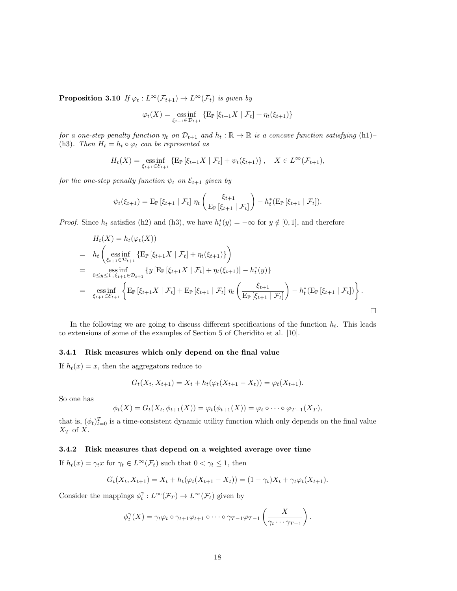**Proposition 3.10** *If*  $\varphi_t : L^\infty(\mathcal{F}_{t+1}) \to L^\infty(\mathcal{F}_t)$  *is given by* 

$$
\varphi_t(X) = \underset{\xi_{t+1} \in \mathcal{D}_{t+1}}{\text{ess inf}} \{ \mathbb{E}_{\mathbb{P}} \left[ \xi_{t+1} X \mid \mathcal{F}_t \right] + \eta_t(\xi_{t+1}) \}
$$

*for a one-step penalty function*  $\eta_t$  *on*  $\mathcal{D}_{t+1}$  *and*  $h_t : \mathbb{R} \to \mathbb{R}$  *is a concave function satisfying* (h1)-(h3)*. Then*  $H_t = h_t \circ \varphi_t$  *can be represented as* 

$$
H_t(X) = \underset{\xi_{t+1} \in \mathcal{E}_{t+1}}{\text{ess inf}} \{ \mathbb{E}_{\mathbb{P}} \left[ \xi_{t+1} X \mid \mathcal{F}_t \right] + \psi_t(\xi_{t+1}) \}, \quad X \in L^{\infty}(\mathcal{F}_{t+1}),
$$

*for the one-step penalty function*  $\psi_t$  *on*  $\mathcal{E}_{t+1}$  *given* by

$$
\psi_t(\xi_{t+1}) = \mathrm{E}_{\mathbb{P}}\left[\xi_{t+1} | \mathcal{F}_t\right] \eta_t \left(\frac{\xi_{t+1}}{\mathrm{E}_{\mathbb{P}}\left[\xi_{t+1} | \mathcal{F}_t\right]}\right) - h_t^*(\mathrm{E}_{\mathbb{P}}\left[\xi_{t+1} | \mathcal{F}_t\right]).
$$

*Proof.* Since  $h_t$  satisfies (h2) and (h3), we have  $h_t^*(y) = -\infty$  for  $y \notin [0,1]$ , and therefore

$$
H_t(X) = h_t(\varphi_t(X))
$$
  
\n
$$
= h_t\left(\underset{\xi_{t+1}\in\mathcal{D}_{t+1}}{\text{ess inf }} \{E_{\mathbb{P}}\left[\xi_{t+1}X \mid \mathcal{F}_t\right] + \eta_t(\xi_{t+1})\}\right)
$$
  
\n
$$
= \underset{\xi_{t+1}\in\mathcal{E}_{t+1}}{\text{ess inf }} \{y\left[E_{\mathbb{P}}\left[\xi_{t+1}X \mid \mathcal{F}_t\right] + \eta_t(\xi_{t+1})\right] - h_t^*(y)\}
$$
  
\n
$$
= \underset{\xi_{t+1}\in\mathcal{E}_{t+1}}{\text{ess inf }} \{E_{\mathbb{P}}\left[\xi_{t+1}X \mid \mathcal{F}_t\right] + E_{\mathbb{P}}\left[\xi_{t+1} \mid \mathcal{F}_t\right] \eta_t\left(\frac{\xi_{t+1}}{E_{\mathbb{P}}\left[\xi_{t+1} \mid \mathcal{F}_t\right]}\right) - h_t^*(E_{\mathbb{P}}\left[\xi_{t+1} \mid \mathcal{F}_t\right])\}.
$$

In the following we are going to discuss different specifications of the function  $h_t$ . This leads to extensions of some of the examples of Section 5 of Cheridito et al. [10].

### **3.4.1 Risk measures which only depend on the final value**

If  $h_t(x) = x$ , then the aggregators reduce to

$$
G_t(X_t, X_{t+1}) = X_t + h_t(\varphi_t(X_{t+1} - X_t)) = \varphi_t(X_{t+1}).
$$

So one has

$$
\phi_t(X) = G_t(X_t, \phi_{t+1}(X)) = \varphi_t(\phi_{t+1}(X)) = \varphi_t \circ \cdots \circ \varphi_{T-1}(X_T),
$$

that is,  $(\phi_t)_{t=0}^T$  is a time-consistent dynamic utility function which only depends on the final value *X<sup>T</sup>* of *X*.

### **3.4.2 Risk measures that depend on a weighted average over time**

If  $h_t(x) = \gamma_t x$  for  $\gamma_t \in L^\infty(\mathcal{F}_t)$  such that  $0 < \gamma_t \leq 1$ , then

$$
G_t(X_t, X_{t+1}) = X_t + h_t(\varphi_t(X_{t+1} - X_t)) = (1 - \gamma_t)X_t + \gamma_t \varphi_t(X_{t+1}).
$$

Consider the mappings  $\phi_t^{\gamma}: L^{\infty}(\mathcal{F}_T) \to L^{\infty}(\mathcal{F}_t)$  given by

$$
\phi_t^{\gamma}(X) = \gamma_t \varphi_t \circ \gamma_{t+1} \varphi_{t+1} \circ \cdots \circ \gamma_{T-1} \varphi_{T-1} \left( \frac{X}{\gamma_t \cdots \gamma_{T-1}} \right).
$$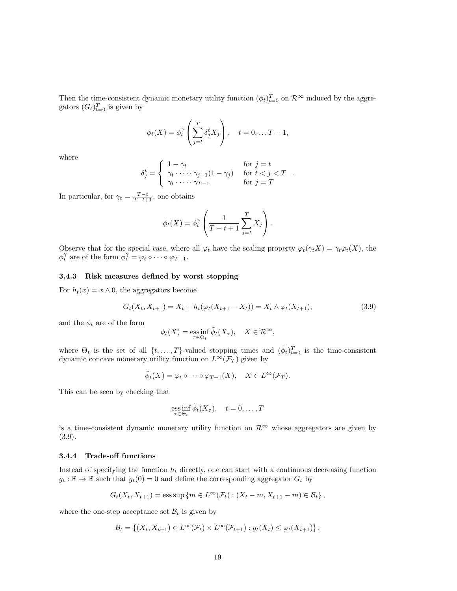Then the time-consistent dynamic monetary utility function  $(\phi_t)_{t=0}^T$  on  $\mathcal{R}^{\infty}$  induced by the aggregators  $(G_t)_{t=0}^T$  is given by

$$
\phi_t(X) = \phi_t^{\gamma} \left( \sum_{j=t}^T \delta_j^t X_j \right), \quad t = 0, \dots T - 1,
$$

where

$$
\delta_j^t = \begin{cases}\n1 - \gamma_t & \text{for } j = t \\
\gamma_t \cdot \dots \cdot \gamma_{j-1} (1 - \gamma_j) & \text{for } t < j < T \\
\gamma_t \cdot \dots \cdot \gamma_{T-1} & \text{for } j = T\n\end{cases}.
$$

In particular, for  $\gamma_t = \frac{T-t}{T-t+1}$ , one obtains

$$
\phi_t(X) = \phi_t^{\gamma} \left( \frac{1}{T - t + 1} \sum_{j=t}^T X_j \right).
$$

Observe that for the special case, where all  $\varphi_t$  have the scaling property  $\varphi_t(\gamma_t X) = \gamma_t \varphi_t(X)$ , the  $\phi_t^{\gamma}$  are of the form  $\phi_t^{\gamma} = \varphi_t \circ \cdots \circ \varphi_{T-1}.$ 

# **3.4.3 Risk measures defined by worst stopping**

For  $h_t(x) = x \wedge 0$ , the aggregators become

$$
G_t(X_t, X_{t+1}) = X_t + h_t(\varphi_t(X_{t+1} - X_t)) = X_t \wedge \varphi_t(X_{t+1}),
$$
\n(3.9)

and the  $\phi_t$  are of the form

$$
\phi_t(X) = \operatorname*{ess\,inf}_{\tau \in \Theta_t} \tilde{\phi}_t(X_\tau), \quad X \in \mathcal{R}^\infty,
$$

where  $\Theta_t$  is the set of all  $\{t, \ldots, T\}$ -valued stopping times and  $(\tilde{\phi}_t)_{t=0}^T$  is the time-consistent dynamic concave monetary utility function on  $L^{\infty}(\mathcal{F}_T)$  given by

$$
\tilde{\phi}_t(X) = \varphi_t \circ \cdots \circ \varphi_{T-1}(X), \quad X \in L^{\infty}(\mathcal{F}_T).
$$

This can be seen by checking that

$$
\underset{\tau \in \Theta_t}{\text{ess inf}} \, \tilde{\phi}_t(X_\tau), \quad t = 0, \dots, T
$$

is a time-consistent dynamic monetary utility function on  $\mathcal{R}^{\infty}$  whose aggregators are given by (3.9).

# **3.4.4 Trade-off functions**

Instead of specifying the function  $h_t$  directly, one can start with a continuous decreasing function  $g_t : \mathbb{R} \to \mathbb{R}$  such that  $g_t(0) = 0$  and define the corresponding aggregator  $G_t$  by

$$
G_t(X_t, X_{t+1}) = \text{ess}\sup \{m \in L^{\infty}(\mathcal{F}_t) : (X_t - m, X_{t+1} - m) \in \mathcal{B}_t \},
$$

where the one-step acceptance set  $\mathcal{B}_t$  is given by

$$
\mathcal{B}_t = \left\{ (X_t, X_{t+1}) \in L^{\infty}(\mathcal{F}_t) \times L^{\infty}(\mathcal{F}_{t+1}) : g_t(X_t) \leq \varphi_t(X_{t+1}) \right\}.
$$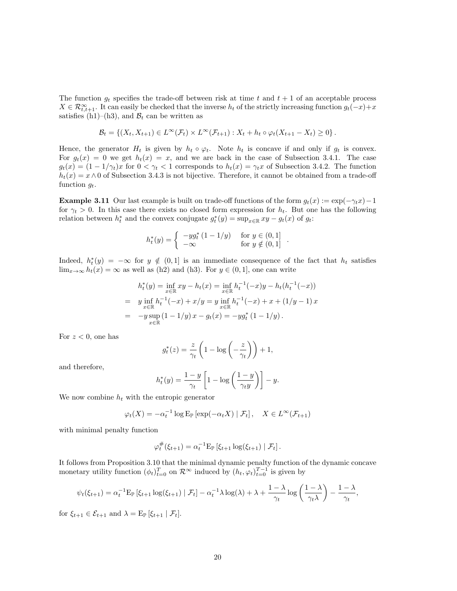The function  $g_t$  specifies the trade-off between risk at time  $t$  and  $t + 1$  of an acceptable process  $X \in \mathcal{R}_{t,t+1}^{\infty}$ . It can easily be checked that the inverse  $h_t$  of the strictly increasing function  $g_t(-x)+x$ satisfies (h1)–(h3), and  $B_t$  can be written as

$$
\mathcal{B}_t = \{ (X_t, X_{t+1}) \in L^{\infty}(\mathcal{F}_t) \times L^{\infty}(\mathcal{F}_{t+1}) : X_t + h_t \circ \varphi_t (X_{t+1} - X_t) \ge 0 \}.
$$

Hence, the generator  $H_t$  is given by  $h_t \circ \varphi_t$ . Note  $h_t$  is concave if and only if  $g_t$  is convex. For  $g_t(x) = 0$  we get  $h_t(x) = x$ , and we are back in the case of Subsection 3.4.1. The case  $g_t(x) = (1 - 1/\gamma_t)x$  for  $0 < \gamma_t < 1$  corresponds to  $h_t(x) = \gamma_t x$  of Subsection 3.4.2. The function  $h_t(x) = x \wedge 0$  of Subsection 3.4.3 is not bijective. Therefore, it cannot be obtained from a trade-off function *gt*.

**Example 3.11** Our last example is built on trade-off functions of the form  $g_t(x) := \exp(-\gamma_t x) - 1$ for  $\gamma_t > 0$ . In this case there exists no closed form expression for  $h_t$ . But one has the following relation between  $h_t^*$  and the convex conjugate  $g_t^*(y) = \sup_{x \in \mathbb{R}} xy - g_t(x)$  of  $g_t$ :

$$
h_t^*(y) = \begin{cases} -yg_t^* (1 - 1/y) & \text{for } y \in (0, 1] \\ -\infty & \text{for } y \notin (0, 1] \end{cases} .
$$

Indeed,  $h_t^*(y) = -\infty$  for  $y \notin (0,1]$  is an immediate consequence of the fact that  $h_t$  satisfies lim<sub>*x*→∞</sub>  $h_t(x) = \infty$  as well as (h2) and (h3). For  $y \in (0,1]$ , one can write

$$
h_t^*(y) = \inf_{x \in \mathbb{R}} xy - h_t(x) = \inf_{x \in \mathbb{R}} h_t^{-1}(-x)y - h_t(h_t^{-1}(-x))
$$
  
=  $y \inf_{x \in \mathbb{R}} h_t^{-1}(-x) + x/y = y \inf_{x \in \mathbb{R}} h_t^{-1}(-x) + x + (1/y - 1)x$   
=  $-y \sup_{x \in \mathbb{R}} (1 - 1/y) x - g_t(x) = -y g_t^*(1 - 1/y).$ 

For  $z < 0$ , one has

$$
g_t^*(z) = \frac{z}{\gamma_t} \left( 1 - \log \left( -\frac{z}{\gamma_t} \right) \right) + 1,
$$

and therefore,

$$
h_t^*(y) = \frac{1-y}{\gamma_t} \left[ 1 - \log \left( \frac{1-y}{\gamma_t y} \right) \right] - y.
$$

We now combine  $h_t$  with the entropic generator

$$
\varphi_t(X) = -\alpha_t^{-1} \log \mathbb{E}_{\mathbb{P}} \left[ \exp(-\alpha_t X) \mid \mathcal{F}_t \right], \quad X \in L^{\infty}(\mathcal{F}_{t+1})
$$

with minimal penalty function

$$
\varphi_t^{\#}(\xi_{t+1}) = \alpha_t^{-1} \mathbb{E}_{\mathbb{P}} \left[ \xi_{t+1} \log(\xi_{t+1}) \mid \mathcal{F}_t \right].
$$

It follows from Proposition 3.10 that the minimal dynamic penalty function of the dynamic concave monetary utility function  $(\phi_t)_{t=0}^T$  on  $\mathcal{R}^{\infty}$  induced by  $(h_t, \varphi_t)_{t=0}^{T-1}$  is given by

$$
\psi_t(\xi_{t+1}) = \alpha_t^{-1} \mathbb{E}_{\mathbb{P}} \left[ \xi_{t+1} \log(\xi_{t+1}) \mid \mathcal{F}_t \right] - \alpha_t^{-1} \lambda \log(\lambda) + \lambda + \frac{1-\lambda}{\gamma_t} \log \left( \frac{1-\lambda}{\gamma_t \lambda} \right) - \frac{1-\lambda}{\gamma_t},
$$

for  $\xi_{t+1} \in \mathcal{E}_{t+1}$  and  $\lambda = \mathrm{E}_{\mathbb{P}} [\xi_{t+1} | \mathcal{F}_t].$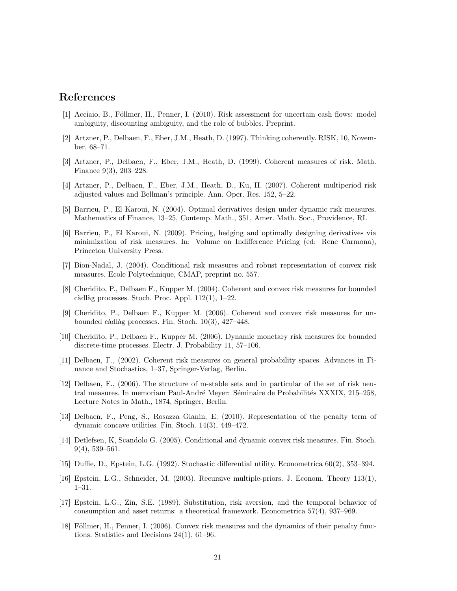# **References**

- [1] Acciaio, B., Föllmer, H., Penner, I. (2010). Risk assessment for uncertain cash flows: model ambiguity, discounting ambiguity, and the role of bubbles. Preprint.
- [2] Artzner, P., Delbaen, F., Eber, J.M., Heath, D. (1997). Thinking coherently. RISK, 10, November, 68–71.
- [3] Artzner, P., Delbaen, F., Eber, J.M., Heath, D. (1999). Coherent measures of risk. Math. Finance 9(3), 203–228.
- [4] Artzner, P., Delbaen, F., Eber, J.M., Heath, D., Ku, H. (2007). Coherent multiperiod risk adjusted values and Bellman's principle. Ann. Oper. Res. 152, 5–22.
- [5] Barrieu, P., El Karoui, N. (2004). Optimal derivatives design under dynamic risk measures. Mathematics of Finance, 13–25, Contemp. Math., 351, Amer. Math. Soc., Providence, RI.
- [6] Barrieu, P., El Karoui, N. (2009). Pricing, hedging and optimally designing derivatives via minimization of risk measures. In: Volume on Indifference Pricing (ed: Rene Carmona), Princeton University Press.
- [7] Bion-Nadal, J. (2004). Conditional risk measures and robust representation of convex risk measures. Ecole Polytechnique, CMAP, preprint no. 557.
- [8] Cheridito, P., Delbaen F., Kupper M. (2004). Coherent and convex risk measures for bounded càdlàg processes. Stoch. Proc. Appl.  $112(1)$ , 1–22.
- [9] Cheridito, P., Delbaen F., Kupper M. (2006). Coherent and convex risk measures for unbounded càdlàg processes. Fin. Stoch.  $10(3)$ ,  $427-448$ .
- [10] Cheridito, P., Delbaen F., Kupper M. (2006). Dynamic monetary risk measures for bounded discrete-time processes. Electr. J. Probability 11, 57–106.
- [11] Delbaen, F., (2002). Coherent risk measures on general probability spaces. Advances in Finance and Stochastics, 1–37, Springer-Verlag, Berlin.
- [12] Delbaen, F., (2006). The structure of m-stable sets and in particular of the set of risk neutral measures. In memoriam Paul-André Meyer: Séminaire de Probabilités XXXIX, 215–258, Lecture Notes in Math., 1874, Springer, Berlin.
- [13] Delbaen, F., Peng, S., Rosazza Gianin, E. (2010). Representation of the penalty term of dynamic concave utilities. Fin. Stoch. 14(3), 449–472.
- [14] Detlefsen, K, Scandolo G. (2005). Conditional and dynamic convex risk measures. Fin. Stoch. 9(4), 539–561.
- [15] Duffie, D., Epstein, L.G. (1992). Stochastic differential utility. Econometrica 60(2), 353–394.
- [16] Epstein, L.G., Schneider, M. (2003). Recursive multiple-priors. J. Econom. Theory 113(1), 1–31.
- [17] Epstein, L.G., Zin, S.E. (1989). Substitution, risk aversion, and the temporal behavior of consumption and asset returns: a theoretical framework. Econometrica 57(4), 937–969.
- [18] Föllmer, H., Penner, I. (2006). Convex risk measures and the dynamics of their penalty functions. Statistics and Decisions 24(1), 61–96.